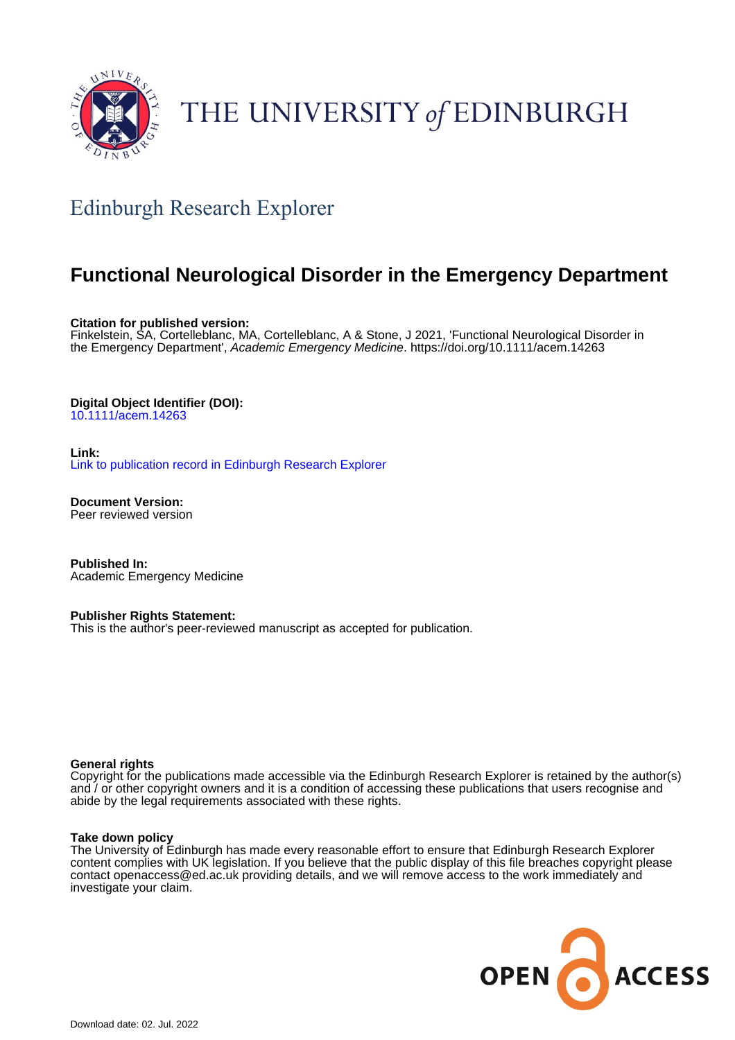

# THE UNIVERSITY of EDINBURGH

# Edinburgh Research Explorer

## **Functional Neurological Disorder in the Emergency Department**

**Citation for published version:**

Finkelstein, SA, Cortelleblanc, MA, Cortelleblanc, A & Stone, J 2021, 'Functional Neurological Disorder in the Emergency Department', Academic Emergency Medicine.<https://doi.org/10.1111/acem.14263>

#### **Digital Object Identifier (DOI):**

[10.1111/acem.14263](https://doi.org/10.1111/acem.14263)

#### **Link:**

[Link to publication record in Edinburgh Research Explorer](https://www.research.ed.ac.uk/en/publications/e1ba6442-52af-4456-bc59-4bf907fa022c)

**Document Version:** Peer reviewed version

**Published In:** Academic Emergency Medicine

#### **Publisher Rights Statement:**

This is the author's peer-reviewed manuscript as accepted for publication.

#### **General rights**

Copyright for the publications made accessible via the Edinburgh Research Explorer is retained by the author(s) and / or other copyright owners and it is a condition of accessing these publications that users recognise and abide by the legal requirements associated with these rights.

#### **Take down policy**

The University of Edinburgh has made every reasonable effort to ensure that Edinburgh Research Explorer content complies with UK legislation. If you believe that the public display of this file breaches copyright please contact openaccess@ed.ac.uk providing details, and we will remove access to the work immediately and investigate your claim.

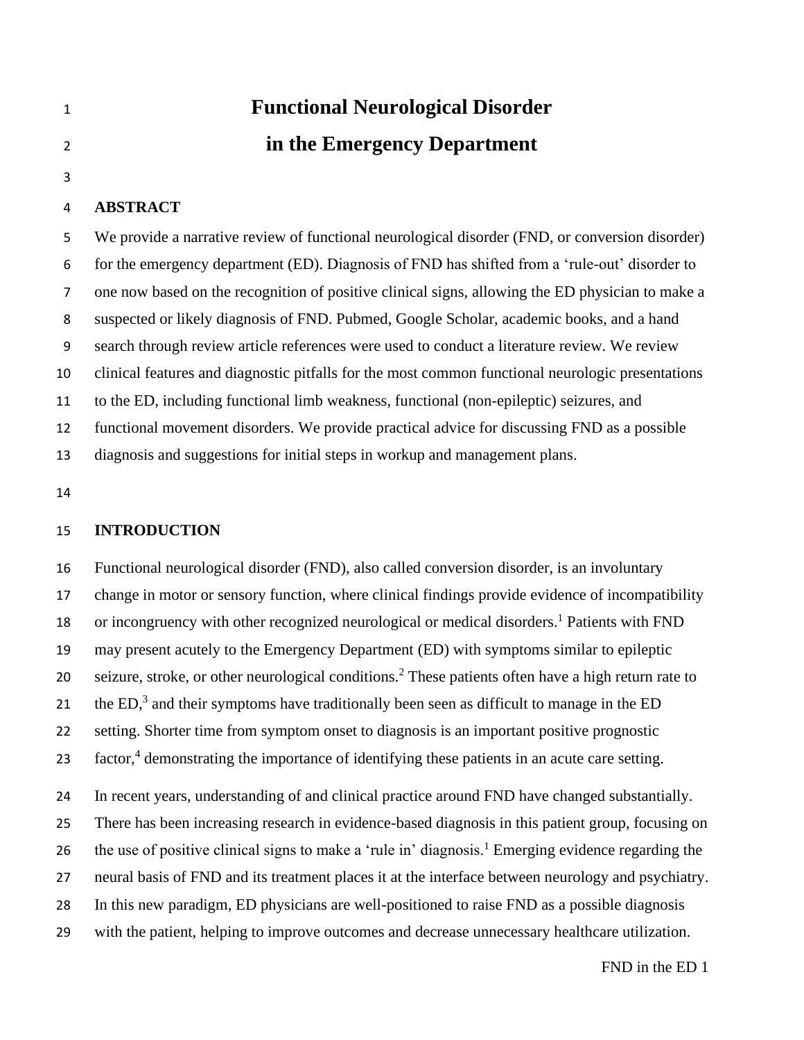|   | <b>Functional Neurological Disorder</b> |
|---|-----------------------------------------|
| 2 | in the Emergency Department             |
|   |                                         |

#### **ABSTRACT**

 We provide a narrative review of functional neurological disorder (FND, or conversion disorder) for the emergency department (ED). Diagnosis of FND has shifted from a 'rule-out' disorder to one now based on the recognition of positive clinical signs, allowing the ED physician to make a suspected or likely diagnosis of FND. Pubmed, Google Scholar, academic books, and a hand search through review article references were used to conduct a literature review. We review clinical features and diagnostic pitfalls for the most common functional neurologic presentations to the ED, including functional limb weakness, functional (non-epileptic) seizures, and functional movement disorders. We provide practical advice for discussing FND as a possible diagnosis and suggestions for initial steps in workup and management plans.

#### **INTRODUCTION**

 Functional neurological disorder (FND), also called conversion disorder, is an involuntary change in motor or sensory function, where clinical findings provide evidence of incompatibility 18 or incongruency with other recognized neurological or medical disorders.<sup>1</sup> Patients with FND may present acutely to the Emergency Department (ED) with symptoms similar to epileptic 20 seizure, stroke, or other neurological conditions.<sup>2</sup> These patients often have a high return rate to 21 the  $ED<sup>3</sup>$  and their symptoms have traditionally been seen as difficult to manage in the ED setting. Shorter time from symptom onset to diagnosis is an important positive prognostic 23 factor,<sup>4</sup> demonstrating the importance of identifying these patients in an acute care setting. In recent years, understanding of and clinical practice around FND have changed substantially. There has been increasing research in evidence-based diagnosis in this patient group, focusing on 26 the use of positive clinical signs to make a 'rule in' diagnosis.<sup>1</sup> Emerging evidence regarding the neural basis of FND and its treatment places it at the interface between neurology and psychiatry. In this new paradigm, ED physicians are well-positioned to raise FND as a possible diagnosis with the patient, helping to improve outcomes and decrease unnecessary healthcare utilization.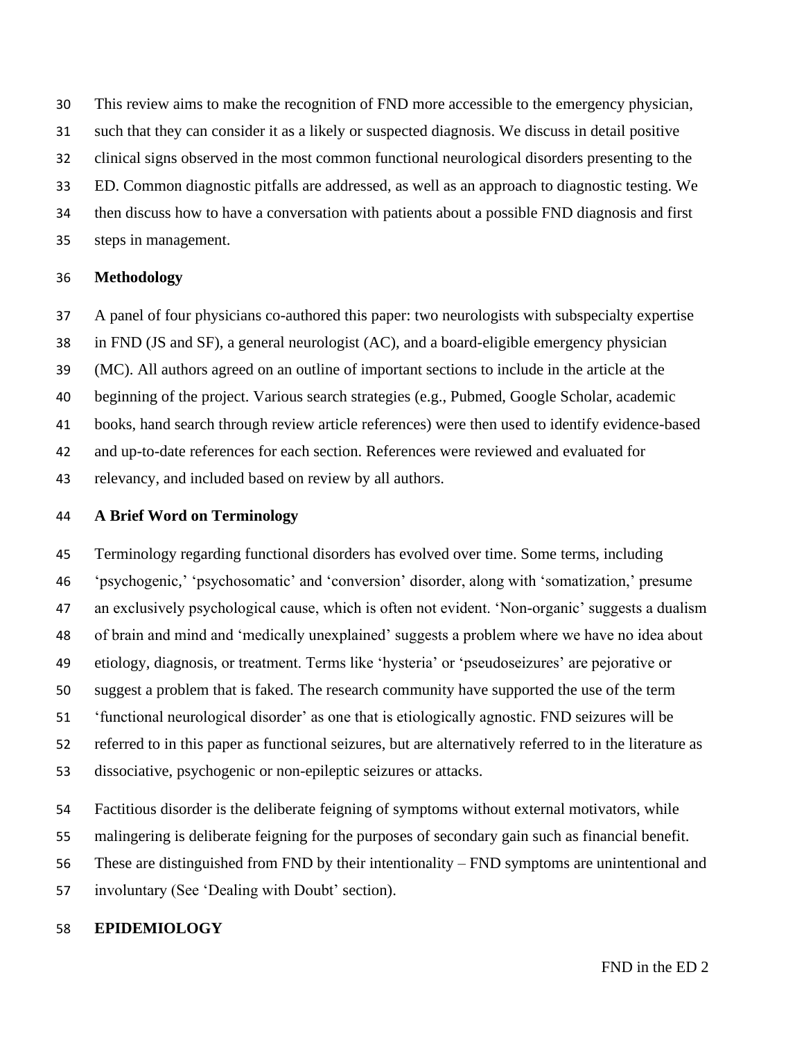This review aims to make the recognition of FND more accessible to the emergency physician,

such that they can consider it as a likely or suspected diagnosis. We discuss in detail positive

clinical signs observed in the most common functional neurological disorders presenting to the

ED. Common diagnostic pitfalls are addressed, as well as an approach to diagnostic testing. We

then discuss how to have a conversation with patients about a possible FND diagnosis and first

steps in management.

#### **Methodology**

A panel of four physicians co-authored this paper: two neurologists with subspecialty expertise

in FND (JS and SF), a general neurologist (AC), and a board-eligible emergency physician

(MC). All authors agreed on an outline of important sections to include in the article at the

beginning of the project. Various search strategies (e.g., Pubmed, Google Scholar, academic

books, hand search through review article references) were then used to identify evidence-based

and up-to-date references for each section. References were reviewed and evaluated for

relevancy, and included based on review by all authors.

#### **A Brief Word on Terminology**

 Terminology regarding functional disorders has evolved over time. Some terms, including 'psychogenic,' 'psychosomatic' and 'conversion' disorder, along with 'somatization,' presume an exclusively psychological cause, which is often not evident. 'Non-organic' suggests a dualism of brain and mind and 'medically unexplained' suggests a problem where we have no idea about etiology, diagnosis, or treatment. Terms like 'hysteria' or 'pseudoseizures' are pejorative or suggest a problem that is faked. The research community have supported the use of the term 'functional neurological disorder' as one that is etiologically agnostic. FND seizures will be referred to in this paper as functional seizures, but are alternatively referred to in the literature as dissociative, psychogenic or non-epileptic seizures or attacks.

 Factitious disorder is the deliberate feigning of symptoms without external motivators, while malingering is deliberate feigning for the purposes of secondary gain such as financial benefit.

These are distinguished from FND by their intentionality – FND symptoms are unintentional and

involuntary (See 'Dealing with Doubt' section).

#### **EPIDEMIOLOGY**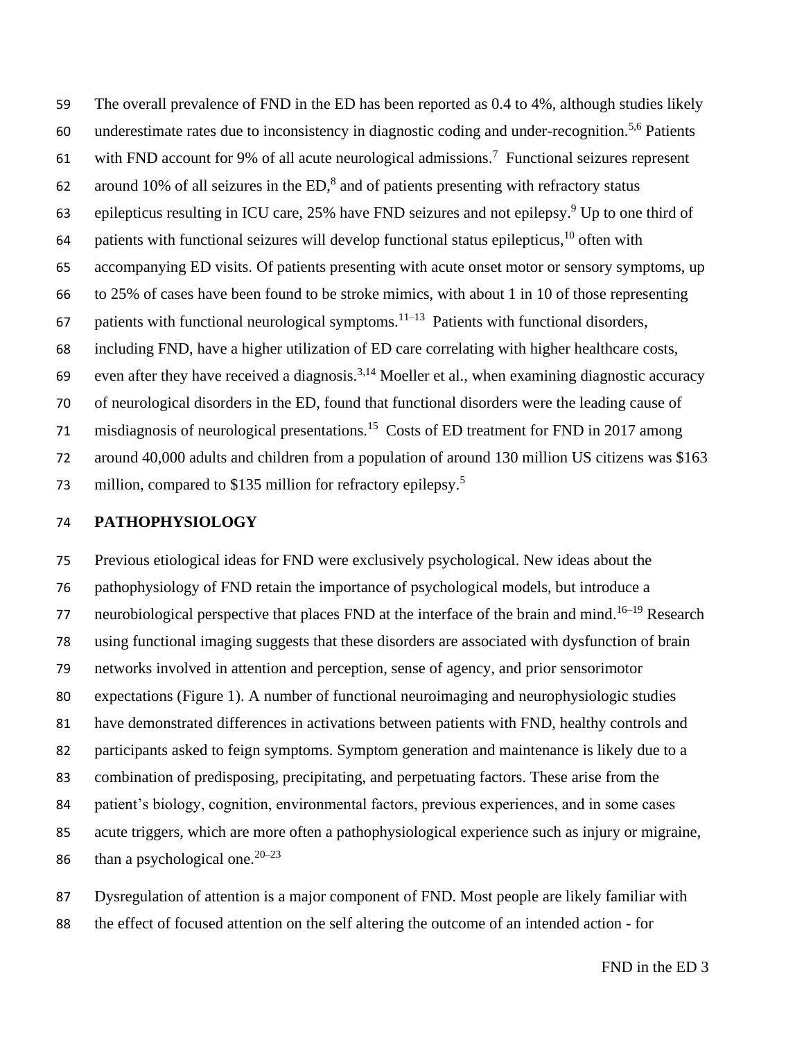The overall prevalence of FND in the ED has been reported as 0.4 to 4%, although studies likely 60 underestimate rates due to inconsistency in diagnostic coding and under-recognition.<sup>5,6</sup> Patients 61 with FND account for 9% of all acute neurological admissions.<sup>7</sup> Functional seizures represent 62 around 10% of all seizures in the  $ED$ ,<sup>8</sup> and of patients presenting with refractory status 63 epilepticus resulting in ICU care, 25% have FND seizures and not epilepsy.<sup>9</sup> Up to one third of 64 patients with functional seizures will develop functional status epilepticus, often with accompanying ED visits. Of patients presenting with acute onset motor or sensory symptoms, up to 25% of cases have been found to be stroke mimics, with about 1 in 10 of those representing 67 patients with functional neurological symptoms.<sup>11–13</sup> Patients with functional disorders, including FND, have a higher utilization of ED care correlating with higher healthcare costs, 69 even after they have received a diagnosis.<sup>3,14</sup> Moeller et al., when examining diagnostic accuracy of neurological disorders in the ED, found that functional disorders were the leading cause of 71 misdiagnosis of neurological presentations.<sup>15</sup> Costs of ED treatment for FND in 2017 among around 40,000 adults and children from a population of around 130 million US citizens was \$163 million, compared to \$135 million for refractory epilepsy.<sup>5</sup> 

#### **PATHOPHYSIOLOGY**

 Previous etiological ideas for FND were exclusively psychological. New ideas about the pathophysiology of FND retain the importance of psychological models, but introduce a 77 neurobiological perspective that places FND at the interface of the brain and mind.<sup>16-19</sup> Research using functional imaging suggests that these disorders are associated with dysfunction of brain networks involved in attention and perception, sense of agency, and prior sensorimotor expectations (Figure 1). A number of functional neuroimaging and neurophysiologic studies have demonstrated differences in activations between patients with FND, healthy controls and participants asked to feign symptoms. Symptom generation and maintenance is likely due to a combination of predisposing, precipitating, and perpetuating factors. These arise from the patient's biology, cognition, environmental factors, previous experiences, and in some cases acute triggers, which are more often a pathophysiological experience such as injury or migraine, 86 than a psychological one.  $20-23$ 

 Dysregulation of attention is a major component of FND. Most people are likely familiar with the effect of focused attention on the self altering the outcome of an intended action - for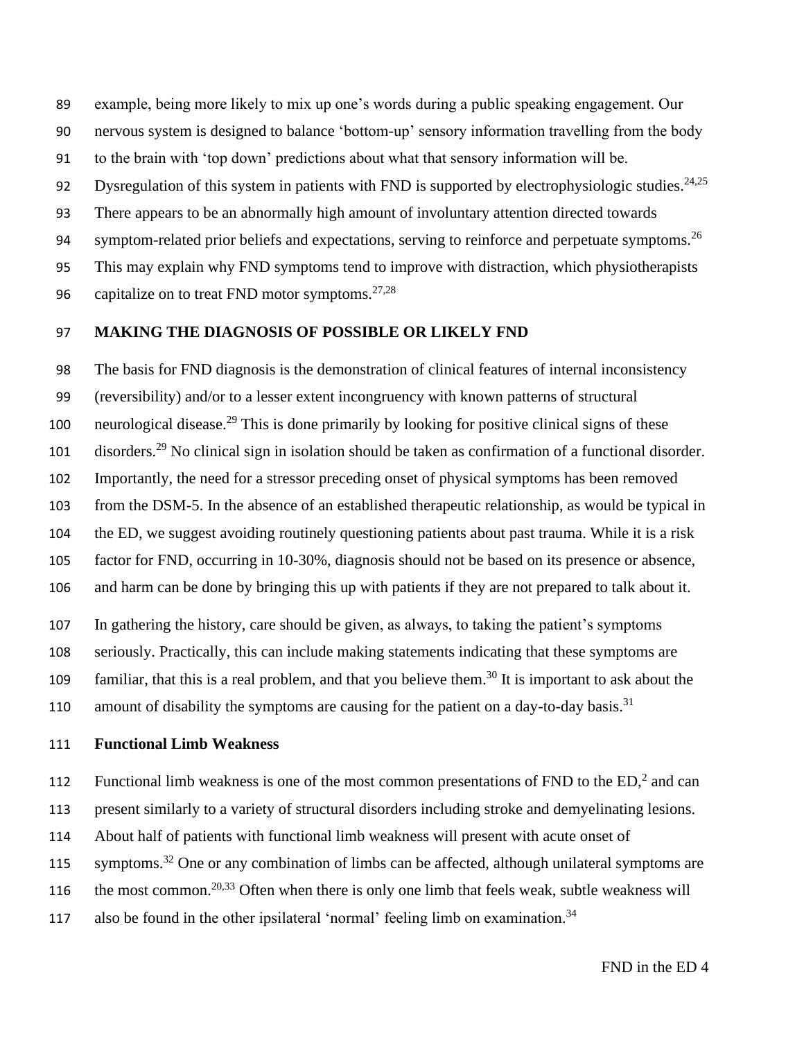example, being more likely to mix up one's words during a public speaking engagement. Our nervous system is designed to balance 'bottom-up' sensory information travelling from the body to the brain with 'top down' predictions about what that sensory information will be. 92 Dysregulation of this system in patients with FND is supported by electrophysiologic studies.<sup>24,25</sup> There appears to be an abnormally high amount of involuntary attention directed towards 94 symptom-related prior beliefs and expectations, serving to reinforce and perpetuate symptoms.<sup>26</sup> This may explain why FND symptoms tend to improve with distraction, which physiotherapists 96 capitalize on to treat FND motor symptoms. $27,28$ 

#### 97 **MAKING THE DIAGNOSIS OF POSSIBLE OR LIKELY FND**

 The basis for FND diagnosis is the demonstration of clinical features of internal inconsistency (reversibility) and/or to a lesser extent incongruency with known patterns of structural neurological disease.<sup>29</sup> This is done primarily by looking for positive clinical signs of these 101 disorders.<sup>29</sup> No clinical sign in isolation should be taken as confirmation of a functional disorder. Importantly, the need for a stressor preceding onset of physical symptoms has been removed from the DSM-5. In the absence of an established therapeutic relationship, as would be typical in the ED, we suggest avoiding routinely questioning patients about past trauma. While it is a risk factor for FND, occurring in 10-30%, diagnosis should not be based on its presence or absence, and harm can be done by bringing this up with patients if they are not prepared to talk about it.

107 In gathering the history, care should be given, as always, to taking the patient's symptoms

108 seriously. Practically, this can include making statements indicating that these symptoms are

109 familiar, that this is a real problem, and that you believe them.<sup>30</sup> It is important to ask about the

110 amount of disability the symptoms are causing for the patient on a day-to-day basis.<sup>31</sup>

#### 111 **Functional Limb Weakness**

112 Functional limb weakness is one of the most common presentations of FND to the  $ED<sub>i</sub><sup>2</sup>$  and can

113 present similarly to a variety of structural disorders including stroke and demyelinating lesions.

114 About half of patients with functional limb weakness will present with acute onset of

115 symptoms.<sup>32</sup> One or any combination of limbs can be affected, although unilateral symptoms are

the most common.<sup>20,33</sup> Often when there is only one limb that feels weak, subtle weakness will

117 also be found in the other ipsilateral 'normal' feeling limb on examination.<sup>34</sup>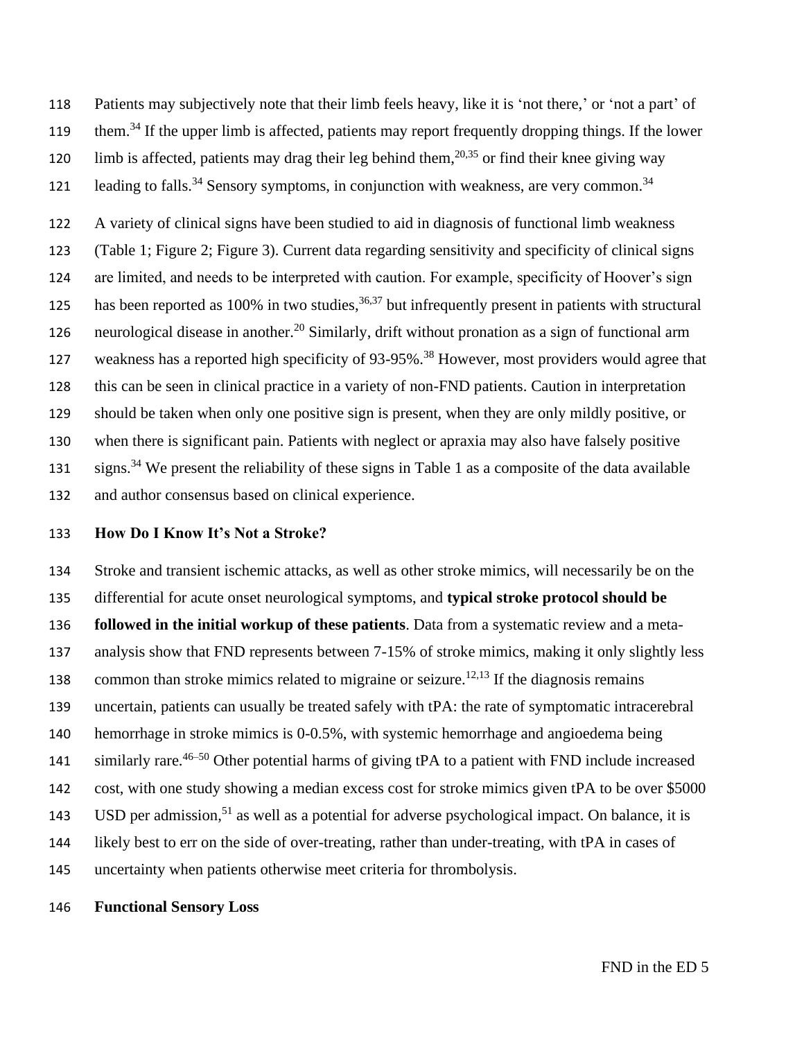Patients may subjectively note that their limb feels heavy, like it is 'not there,' or 'not a part' of

- them.<sup>34</sup> If the upper limb is affected, patients may report frequently dropping things. If the lower
- 120 limb is affected, patients may drag their leg behind them,  $20,35$  or find their knee giving way
- 121 leading to falls.<sup>34</sup> Sensory symptoms, in conjunction with weakness, are very common.<sup>34</sup>

 A variety of clinical signs have been studied to aid in diagnosis of functional limb weakness (Table 1; Figure 2; Figure 3). Current data regarding sensitivity and specificity of clinical signs are limited, and needs to be interpreted with caution. For example, specificity of Hoover's sign has been reported as 100% in two studies,  $36,37$  but infrequently present in patients with structural neurological disease in another.<sup>20</sup> Similarly, drift without pronation as a sign of functional arm 127 weakness has a reported high specificity of 93-95%.<sup>38</sup> However, most providers would agree that this can be seen in clinical practice in a variety of non-FND patients. Caution in interpretation should be taken when only one positive sign is present, when they are only mildly positive, or when there is significant pain. Patients with neglect or apraxia may also have falsely positive signs.<sup>34</sup> We present the reliability of these signs in Table 1 as a composite of the data available and author consensus based on clinical experience.

#### **How Do I Know It's Not a Stroke?**

 Stroke and transient ischemic attacks, as well as other stroke mimics, will necessarily be on the differential for acute onset neurological symptoms, and **typical stroke protocol should be followed in the initial workup of these patients**. Data from a systematic review and a meta- analysis show that FND represents between 7-15% of stroke mimics, making it only slightly less 138 common than stroke mimics related to migraine or seizure.<sup>12,13</sup> If the diagnosis remains uncertain, patients can usually be treated safely with tPA: the rate of symptomatic intracerebral hemorrhage in stroke mimics is 0-0.5%, with systemic hemorrhage and angioedema being 141 similarly rare.<sup>46–50</sup> Other potential harms of giving tPA to a patient with FND include increased cost, with one study showing a median excess cost for stroke mimics given tPA to be over \$5000 143 USD per admission,<sup>51</sup> as well as a potential for adverse psychological impact. On balance, it is likely best to err on the side of over-treating, rather than under-treating, with tPA in cases of uncertainty when patients otherwise meet criteria for thrombolysis.

**Functional Sensory Loss**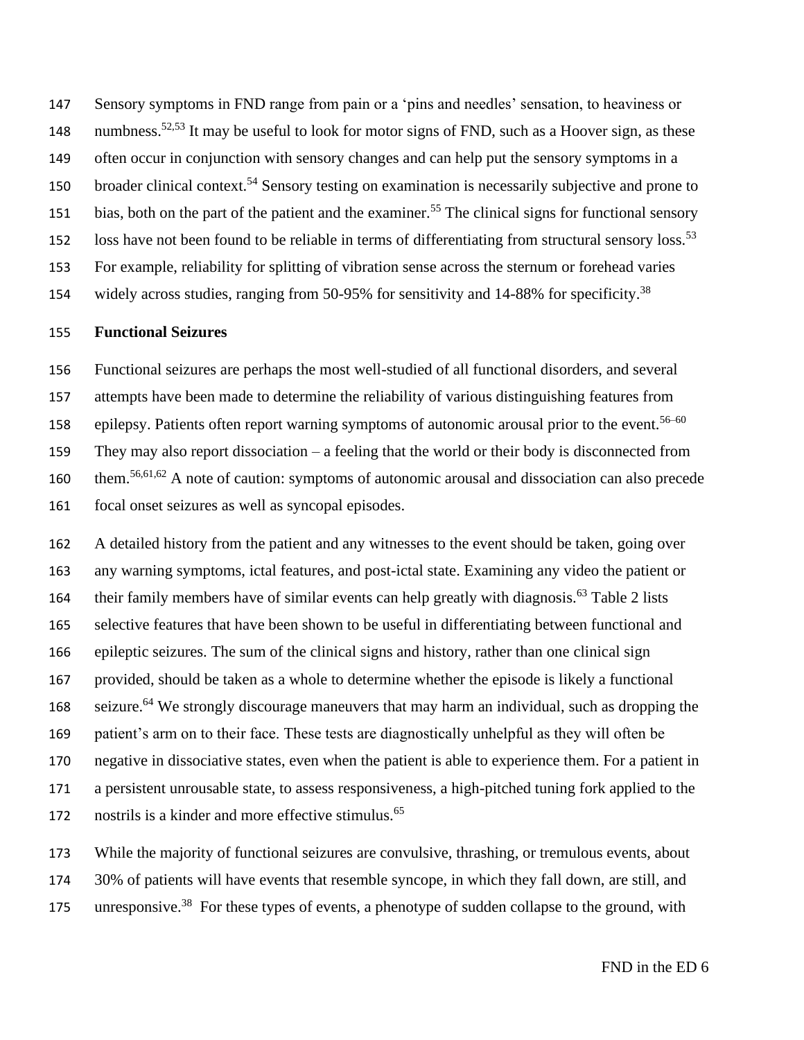147 Sensory symptoms in FND range from pain or a 'pins and needles' sensation, to heaviness or numbness.<sup>52,53</sup> It may be useful to look for motor signs of FND, such as a Hoover sign, as these 149 often occur in conjunction with sensory changes and can help put the sensory symptoms in a 150 broader clinical context.<sup>54</sup> Sensory testing on examination is necessarily subjective and prone to 151 bias, both on the part of the patient and the examiner.<sup>55</sup> The clinical signs for functional sensory 152 loss have not been found to be reliable in terms of differentiating from structural sensory loss.<sup>53</sup> 153 For example, reliability for splitting of vibration sense across the sternum or forehead varies 154 widely across studies, ranging from 50-95% for sensitivity and 14-88% for specificity.<sup>38</sup>

#### 155 **Functional Seizures**

 Functional seizures are perhaps the most well-studied of all functional disorders, and several attempts have been made to determine the reliability of various distinguishing features from 158 epilepsy. Patients often report warning symptoms of autonomic arousal prior to the event.<sup>56–60</sup> They may also report dissociation – a feeling that the world or their body is disconnected from them.<sup>56,61,62</sup> A note of caution: symptoms of autonomic arousal and dissociation can also precede focal onset seizures as well as syncopal episodes.

 A detailed history from the patient and any witnesses to the event should be taken, going over any warning symptoms, ictal features, and post-ictal state. Examining any video the patient or their family members have of similar events can help greatly with diagnosis.<sup>63</sup> Table 2 lists selective features that have been shown to be useful in differentiating between functional and epileptic seizures. The sum of the clinical signs and history, rather than one clinical sign provided, should be taken as a whole to determine whether the episode is likely a functional 168 seizure.<sup>64</sup> We strongly discourage maneuvers that may harm an individual, such as dropping the patient's arm on to their face. These tests are diagnostically unhelpful as they will often be negative in dissociative states, even when the patient is able to experience them. For a patient in a persistent unrousable state, to assess responsiveness, a high-pitched tuning fork applied to the 172 nostrils is a kinder and more effective stimulus.<sup>65</sup>

173 While the majority of functional seizures are convulsive, thrashing, or tremulous events, about 174 30% of patients will have events that resemble syncope, in which they fall down, are still, and 175 unresponsive.<sup>38</sup> For these types of events, a phenotype of sudden collapse to the ground, with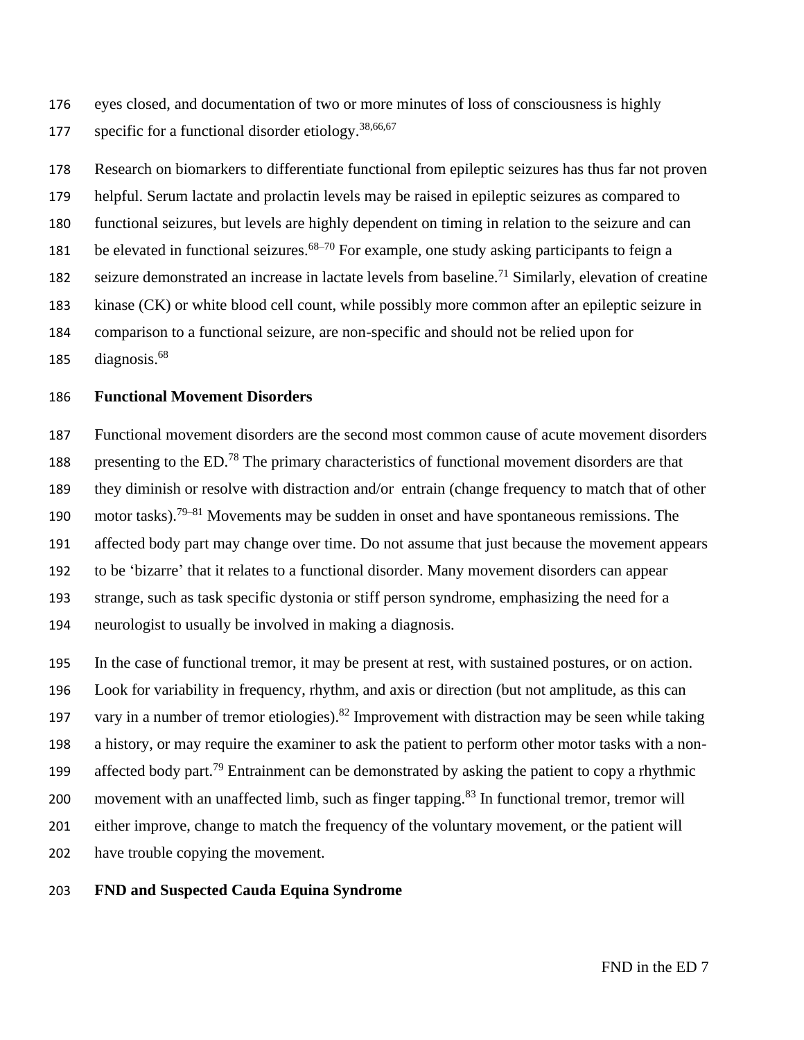eyes closed, and documentation of two or more minutes of loss of consciousness is highly 177 specific for a functional disorder etiology.  $38,66,67$ 

 Research on biomarkers to differentiate functional from epileptic seizures has thus far not proven helpful. Serum lactate and prolactin levels may be raised in epileptic seizures as compared to functional seizures, but levels are highly dependent on timing in relation to the seizure and can 181 be elevated in functional seizures.<sup>68–70</sup> For example, one study asking participants to feign a seizure demonstrated an increase in lactate levels from baseline.<sup>71</sup> Similarly, elevation of creatine kinase (CK) or white blood cell count, while possibly more common after an epileptic seizure in comparison to a functional seizure, are non-specific and should not be relied upon for 185 diagnosis.

#### **Functional Movement Disorders**

 Functional movement disorders are the second most common cause of acute movement disorders 188 presenting to the ED.<sup>78</sup> The primary characteristics of functional movement disorders are that they diminish or resolve with distraction and/or entrain (change frequency to match that of other 190 motor tasks).<sup>79–81</sup> Movements may be sudden in onset and have spontaneous remissions. The affected body part may change over time. Do not assume that just because the movement appears to be 'bizarre' that it relates to a functional disorder. Many movement disorders can appear strange, such as task specific dystonia or stiff person syndrome, emphasizing the need for a neurologist to usually be involved in making a diagnosis.

 In the case of functional tremor, it may be present at rest, with sustained postures, or on action. Look for variability in frequency, rhythm, and axis or direction (but not amplitude, as this can 197 vary in a number of tremor etiologies).<sup>82</sup> Improvement with distraction may be seen while taking a history, or may require the examiner to ask the patient to perform other motor tasks with a non-199 affected body part.<sup>79</sup> Entrainment can be demonstrated by asking the patient to copy a rhythmic 200 movement with an unaffected limb, such as finger tapping. In functional tremor, tremor will either improve, change to match the frequency of the voluntary movement, or the patient will have trouble copying the movement.

#### **FND and Suspected Cauda Equina Syndrome**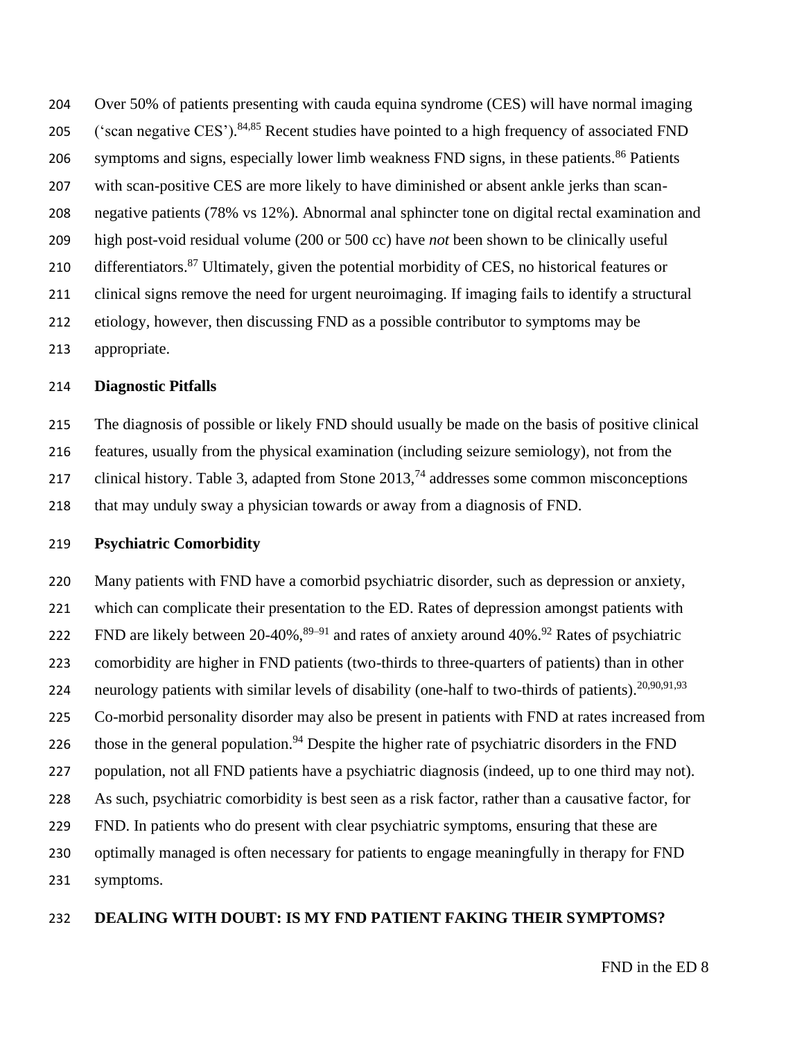Over 50% of patients presenting with cauda equina syndrome (CES) will have normal imaging 205 ('scan negative CES').<sup>84,85</sup> Recent studies have pointed to a high frequency of associated FND symptoms and signs, especially lower limb weakness FND signs, in these patients.<sup>86</sup> Patients with scan-positive CES are more likely to have diminished or absent ankle jerks than scan- negative patients (78% vs 12%). Abnormal anal sphincter tone on digital rectal examination and high post-void residual volume (200 or 500 cc) have *not* been shown to be clinically useful 210 differentiators.<sup>87</sup> Ultimately, given the potential morbidity of CES, no historical features or clinical signs remove the need for urgent neuroimaging. If imaging fails to identify a structural etiology, however, then discussing FND as a possible contributor to symptoms may be appropriate.

#### **Diagnostic Pitfalls**

 The diagnosis of possible or likely FND should usually be made on the basis of positive clinical features, usually from the physical examination (including seizure semiology), not from the 217 clinical history. Table 3, adapted from Stone  $2013<sup>74</sup>$  addresses some common misconceptions that may unduly sway a physician towards or away from a diagnosis of FND.

#### **Psychiatric Comorbidity**

 Many patients with FND have a comorbid psychiatric disorder, such as depression or anxiety, which can complicate their presentation to the ED. Rates of depression amongst patients with FND are likely between 20-40%,  $89-91$  and rates of anxiety around 40%. <sup>92</sup> Rates of psychiatric comorbidity are higher in FND patients (two-thirds to three-quarters of patients) than in other 224 neurology patients with similar levels of disability (one-half to two-thirds of patients).<sup>20,90,91,93</sup> Co-morbid personality disorder may also be present in patients with FND at rates increased from 226 those in the general population.<sup>94</sup> Despite the higher rate of psychiatric disorders in the FND population, not all FND patients have a psychiatric diagnosis (indeed, up to one third may not). As such, psychiatric comorbidity is best seen as a risk factor, rather than a causative factor, for FND. In patients who do present with clear psychiatric symptoms, ensuring that these are optimally managed is often necessary for patients to engage meaningfully in therapy for FND symptoms.

#### **DEALING WITH DOUBT: IS MY FND PATIENT FAKING THEIR SYMPTOMS?**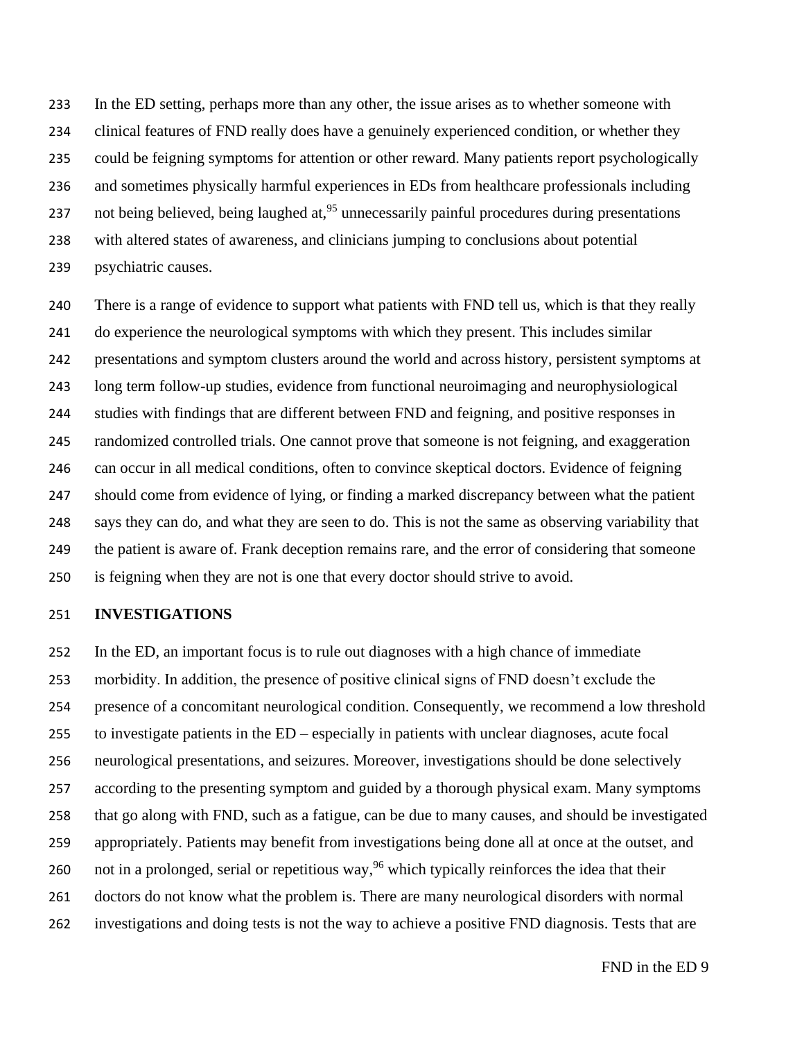In the ED setting, perhaps more than any other, the issue arises as to whether someone with clinical features of FND really does have a genuinely experienced condition, or whether they could be feigning symptoms for attention or other reward. Many patients report psychologically and sometimes physically harmful experiences in EDs from healthcare professionals including 237 not being believed, being laughed at,  $^{95}$  unnecessarily painful procedures during presentations with altered states of awareness, and clinicians jumping to conclusions about potential psychiatric causes.

 There is a range of evidence to support what patients with FND tell us, which is that they really do experience the neurological symptoms with which they present. This includes similar presentations and symptom clusters around the world and across history, persistent symptoms at long term follow-up studies, evidence from functional neuroimaging and neurophysiological studies with findings that are different between FND and feigning, and positive responses in randomized controlled trials. One cannot prove that someone is not feigning, and exaggeration can occur in all medical conditions, often to convince skeptical doctors. Evidence of feigning should come from evidence of lying, or finding a marked discrepancy between what the patient says they can do, and what they are seen to do. This is not the same as observing variability that the patient is aware of. Frank deception remains rare, and the error of considering that someone is feigning when they are not is one that every doctor should strive to avoid.

#### **INVESTIGATIONS**

 In the ED, an important focus is to rule out diagnoses with a high chance of immediate morbidity. In addition, the presence of positive clinical signs of FND doesn't exclude the presence of a concomitant neurological condition. Consequently, we recommend a low threshold to investigate patients in the ED – especially in patients with unclear diagnoses, acute focal neurological presentations, and seizures. Moreover, investigations should be done selectively according to the presenting symptom and guided by a thorough physical exam. Many symptoms that go along with FND, such as a fatigue, can be due to many causes, and should be investigated appropriately. Patients may benefit from investigations being done all at once at the outset, and 260 not in a prolonged, serial or repetitious way,<sup>96</sup> which typically reinforces the idea that their doctors do not know what the problem is. There are many neurological disorders with normal investigations and doing tests is not the way to achieve a positive FND diagnosis. Tests that are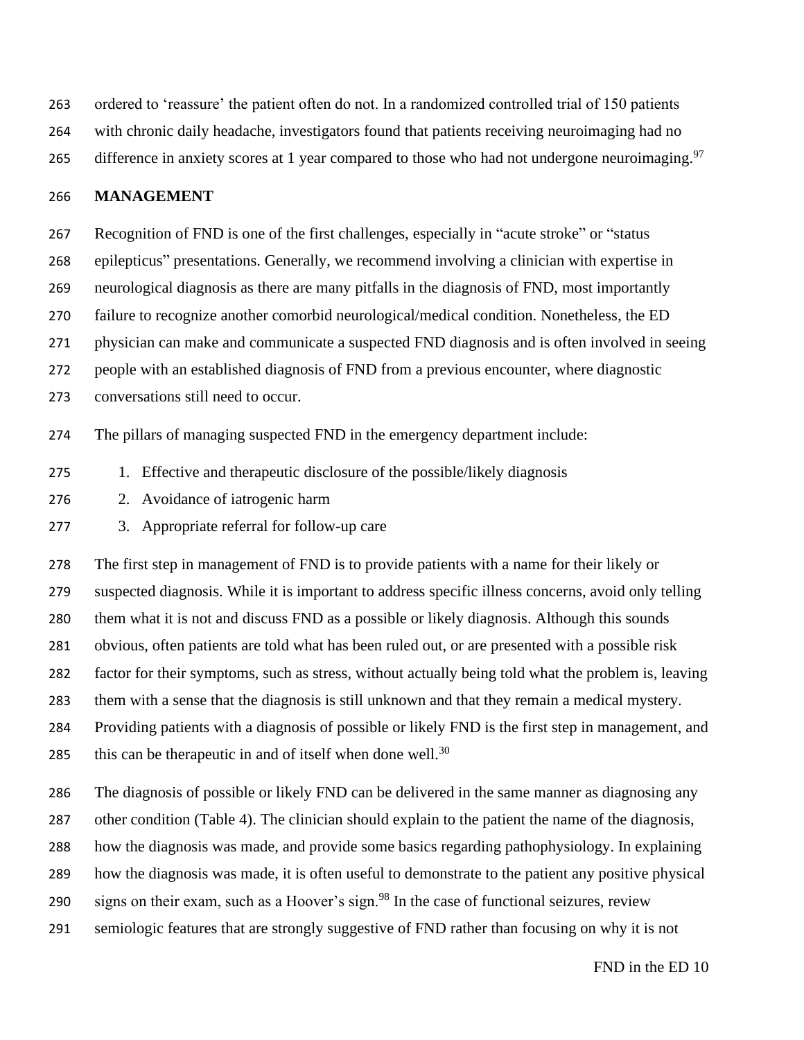ordered to 'reassure' the patient often do not. In a randomized controlled trial of 150 patients with chronic daily headache, investigators found that patients receiving neuroimaging had no

265 difference in anxiety scores at 1 year compared to those who had not undergone neuroimaging.<sup>97</sup>

#### **MANAGEMENT**

 Recognition of FND is one of the first challenges, especially in "acute stroke" or "status epilepticus" presentations. Generally, we recommend involving a clinician with expertise in neurological diagnosis as there are many pitfalls in the diagnosis of FND, most importantly failure to recognize another comorbid neurological/medical condition. Nonetheless, the ED physician can make and communicate a suspected FND diagnosis and is often involved in seeing people with an established diagnosis of FND from a previous encounter, where diagnostic conversations still need to occur.

The pillars of managing suspected FND in the emergency department include:

- 1. Effective and therapeutic disclosure of the possible/likely diagnosis
- 2. Avoidance of iatrogenic harm
- 3. Appropriate referral for follow-up care

 The first step in management of FND is to provide patients with a name for their likely or suspected diagnosis. While it is important to address specific illness concerns, avoid only telling them what it is not and discuss FND as a possible or likely diagnosis. Although this sounds obvious, often patients are told what has been ruled out, or are presented with a possible risk factor for their symptoms, such as stress, without actually being told what the problem is, leaving them with a sense that the diagnosis is still unknown and that they remain a medical mystery. Providing patients with a diagnosis of possible or likely FND is the first step in management, and 285 this can be therapeutic in and of itself when done well.

The diagnosis of possible or likely FND can be delivered in the same manner as diagnosing any

other condition (Table 4). The clinician should explain to the patient the name of the diagnosis,

how the diagnosis was made, and provide some basics regarding pathophysiology. In explaining

how the diagnosis was made, it is often useful to demonstrate to the patient any positive physical

290 signs on their exam, such as a Hoover's sign.<sup>98</sup> In the case of functional seizures, review

semiologic features that are strongly suggestive of FND rather than focusing on why it is not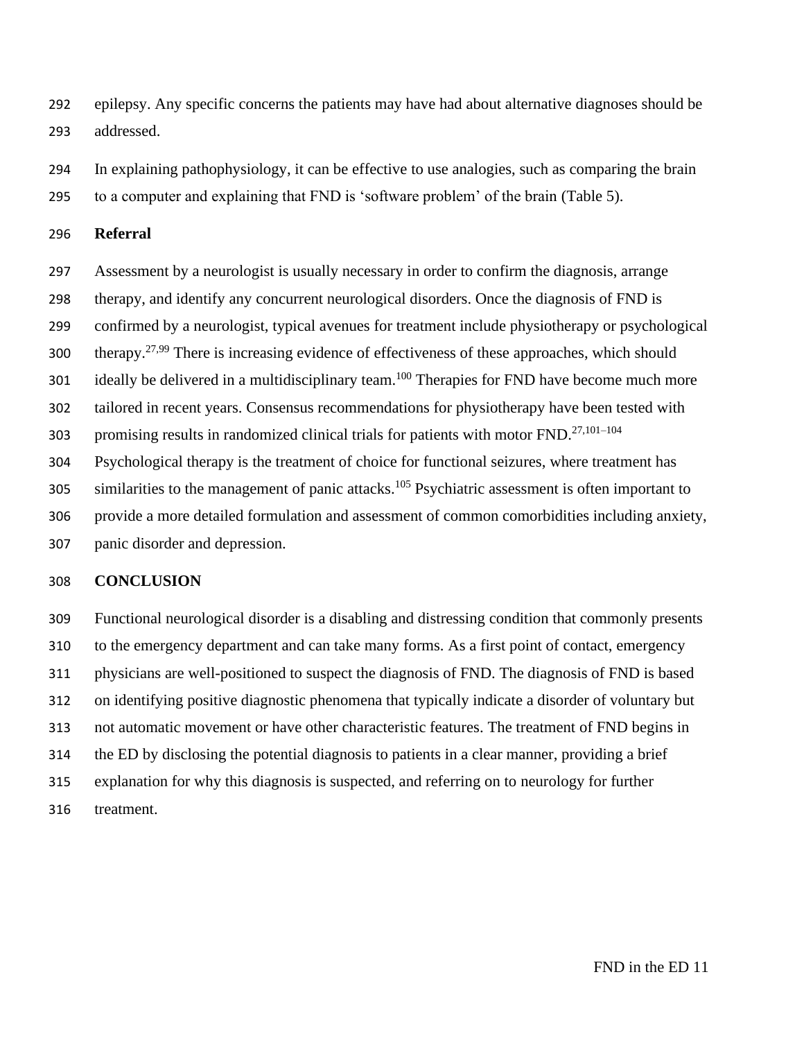epilepsy. Any specific concerns the patients may have had about alternative diagnoses should be addressed.

 In explaining pathophysiology, it can be effective to use analogies, such as comparing the brain to a computer and explaining that FND is 'software problem' of the brain (Table 5).

#### **Referral**

 Assessment by a neurologist is usually necessary in order to confirm the diagnosis, arrange therapy, and identify any concurrent neurological disorders. Once the diagnosis of FND is confirmed by a neurologist, typical avenues for treatment include physiotherapy or psychological therapy.<sup>27,99</sup> There is increasing evidence of effectiveness of these approaches, which should 301 ideally be delivered in a multidisciplinary team.<sup>100</sup> Therapies for FND have become much more tailored in recent years. Consensus recommendations for physiotherapy have been tested with 303 promising results in randomized clinical trials for patients with motor  $FND$ .<sup>27,101–104</sup> Psychological therapy is the treatment of choice for functional seizures, where treatment has 305 similarities to the management of panic attacks.<sup>105</sup> Psychiatric assessment is often important to provide a more detailed formulation and assessment of common comorbidities including anxiety, panic disorder and depression.

#### **CONCLUSION**

 Functional neurological disorder is a disabling and distressing condition that commonly presents to the emergency department and can take many forms. As a first point of contact, emergency physicians are well-positioned to suspect the diagnosis of FND. The diagnosis of FND is based on identifying positive diagnostic phenomena that typically indicate a disorder of voluntary but not automatic movement or have other characteristic features. The treatment of FND begins in the ED by disclosing the potential diagnosis to patients in a clear manner, providing a brief explanation for why this diagnosis is suspected, and referring on to neurology for further treatment.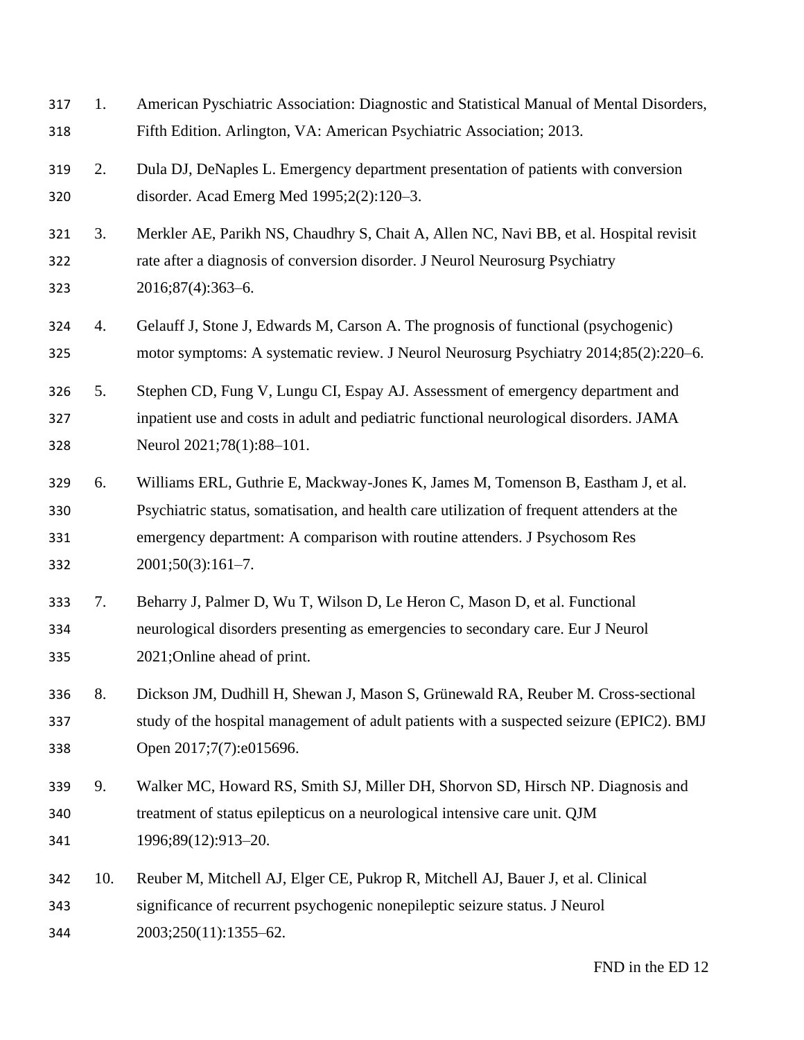| 317<br>318               | 1.  | American Pyschiatric Association: Diagnostic and Statistical Manual of Mental Disorders,<br>Fifth Edition. Arlington, VA: American Psychiatric Association; 2013.                                                                                                                   |
|--------------------------|-----|-------------------------------------------------------------------------------------------------------------------------------------------------------------------------------------------------------------------------------------------------------------------------------------|
| 319<br>320               | 2.  | Dula DJ, DeNaples L. Emergency department presentation of patients with conversion<br>disorder. Acad Emerg Med 1995;2(2):120-3.                                                                                                                                                     |
| 321<br>322<br>323        | 3.  | Merkler AE, Parikh NS, Chaudhry S, Chait A, Allen NC, Navi BB, et al. Hospital revisit<br>rate after a diagnosis of conversion disorder. J Neurol Neurosurg Psychiatry<br>2016;87(4):363-6.                                                                                         |
| 324<br>325               | 4.  | Gelauff J, Stone J, Edwards M, Carson A. The prognosis of functional (psychogenic)<br>motor symptoms: A systematic review. J Neurol Neurosurg Psychiatry 2014;85(2):220–6.                                                                                                          |
| 326<br>327<br>328        | 5.  | Stephen CD, Fung V, Lungu CI, Espay AJ. Assessment of emergency department and<br>inpatient use and costs in adult and pediatric functional neurological disorders. JAMA<br>Neurol 2021;78(1):88-101.                                                                               |
| 329<br>330<br>331<br>332 | 6.  | Williams ERL, Guthrie E, Mackway-Jones K, James M, Tomenson B, Eastham J, et al.<br>Psychiatric status, somatisation, and health care utilization of frequent attenders at the<br>emergency department: A comparison with routine attenders. J Psychosom Res<br>$2001;50(3):161-7.$ |
| 333<br>334<br>335        | 7.  | Beharry J, Palmer D, Wu T, Wilson D, Le Heron C, Mason D, et al. Functional<br>neurological disorders presenting as emergencies to secondary care. Eur J Neurol<br>2021; Online ahead of print.                                                                                     |
| 336<br>337<br>338        | 8.  | Dickson JM, Dudhill H, Shewan J, Mason S, Grünewald RA, Reuber M. Cross-sectional<br>study of the hospital management of adult patients with a suspected seizure (EPIC2). BMJ<br>Open 2017;7(7):e015696.                                                                            |
| 339<br>340<br>341        | 9.  | Walker MC, Howard RS, Smith SJ, Miller DH, Shorvon SD, Hirsch NP. Diagnosis and<br>treatment of status epilepticus on a neurological intensive care unit. QJM<br>1996;89(12):913-20.                                                                                                |
| 342<br>343<br>344        | 10. | Reuber M, Mitchell AJ, Elger CE, Pukrop R, Mitchell AJ, Bauer J, et al. Clinical<br>significance of recurrent psychogenic nonepileptic seizure status. J Neurol<br>2003;250(11):1355-62.                                                                                            |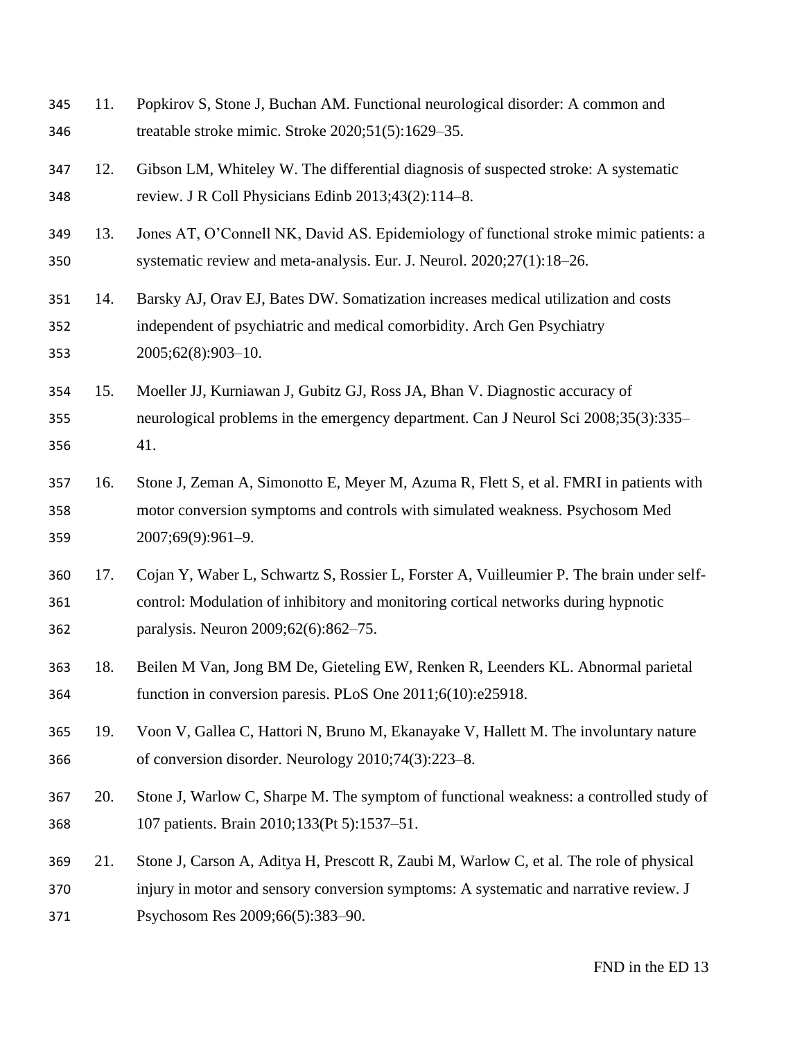| 345<br>346        | 11. | Popkirov S, Stone J, Buchan AM. Functional neurological disorder: A common and<br>treatable stroke mimic. Stroke 2020;51(5):1629-35.                                                                                   |
|-------------------|-----|------------------------------------------------------------------------------------------------------------------------------------------------------------------------------------------------------------------------|
| 347<br>348        | 12. | Gibson LM, Whiteley W. The differential diagnosis of suspected stroke: A systematic<br>review. J R Coll Physicians Edinb 2013;43(2):114-8.                                                                             |
| 349<br>350        | 13. | Jones AT, O'Connell NK, David AS. Epidemiology of functional stroke mimic patients: a<br>systematic review and meta-analysis. Eur. J. Neurol. 2020;27(1):18-26.                                                        |
| 351<br>352<br>353 | 14. | Barsky AJ, Orav EJ, Bates DW. Somatization increases medical utilization and costs<br>independent of psychiatric and medical comorbidity. Arch Gen Psychiatry<br>2005;62(8):903-10.                                    |
| 354<br>355<br>356 | 15. | Moeller JJ, Kurniawan J, Gubitz GJ, Ross JA, Bhan V. Diagnostic accuracy of<br>neurological problems in the emergency department. Can J Neurol Sci 2008;35(3):335–<br>41.                                              |
| 357<br>358<br>359 | 16. | Stone J, Zeman A, Simonotto E, Meyer M, Azuma R, Flett S, et al. FMRI in patients with<br>motor conversion symptoms and controls with simulated weakness. Psychosom Med<br>2007;69(9):961-9.                           |
| 360<br>361<br>362 | 17. | Cojan Y, Waber L, Schwartz S, Rossier L, Forster A, Vuilleumier P. The brain under self-<br>control: Modulation of inhibitory and monitoring cortical networks during hypnotic<br>paralysis. Neuron 2009;62(6):862–75. |
| 363<br>364        | 18. | Beilen M Van, Jong BM De, Gieteling EW, Renken R, Leenders KL. Abnormal parietal<br>function in conversion paresis. PLoS One 2011;6(10):e25918.                                                                        |
| 365<br>366        | 19. | Voon V, Gallea C, Hattori N, Bruno M, Ekanayake V, Hallett M. The involuntary nature<br>of conversion disorder. Neurology 2010;74(3):223-8.                                                                            |
| 367<br>368        | 20. | Stone J, Warlow C, Sharpe M. The symptom of functional weakness: a controlled study of<br>107 patients. Brain 2010;133(Pt 5):1537-51.                                                                                  |
| 369<br>370<br>371 | 21. | Stone J, Carson A, Aditya H, Prescott R, Zaubi M, Warlow C, et al. The role of physical<br>injury in motor and sensory conversion symptoms: A systematic and narrative review. J<br>Psychosom Res 2009;66(5):383-90.   |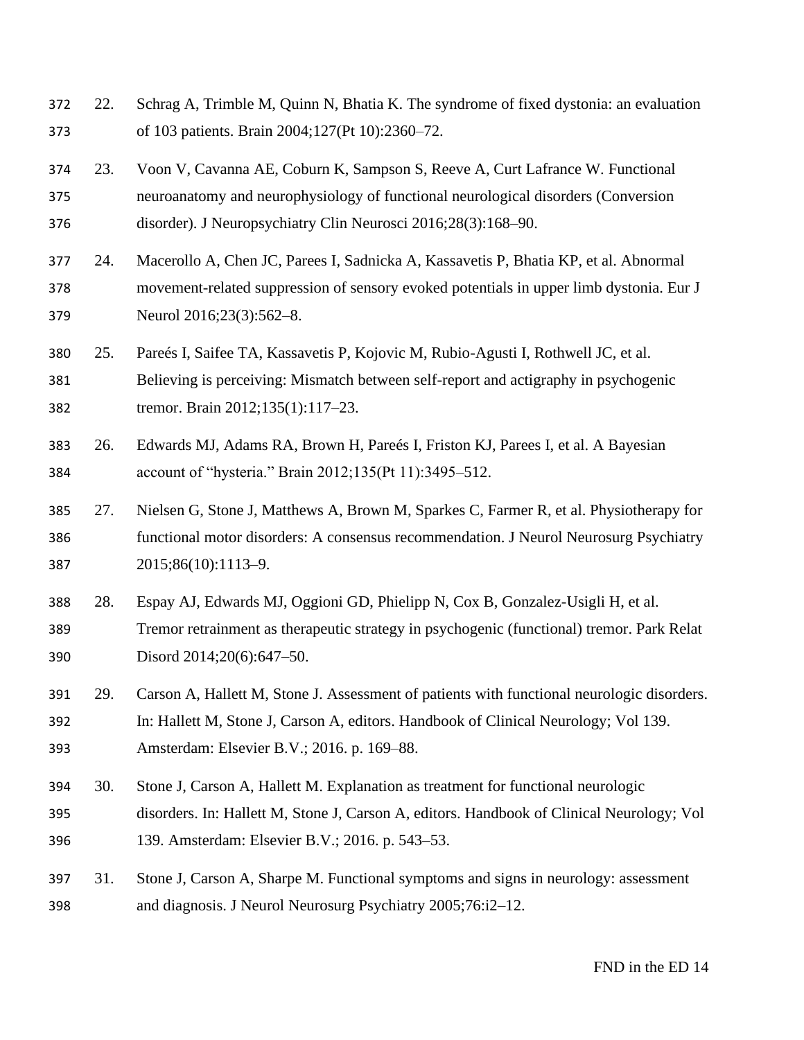- 22. Schrag A, Trimble M, Quinn N, Bhatia K. The syndrome of fixed dystonia: an evaluation of 103 patients. Brain 2004;127(Pt 10):2360–72.
- 23. Voon V, Cavanna AE, Coburn K, Sampson S, Reeve A, Curt Lafrance W. Functional neuroanatomy and neurophysiology of functional neurological disorders (Conversion disorder). J Neuropsychiatry Clin Neurosci 2016;28(3):168–90.
- 24. Macerollo A, Chen JC, Parees I, Sadnicka A, Kassavetis P, Bhatia KP, et al. Abnormal movement-related suppression of sensory evoked potentials in upper limb dystonia. Eur J Neurol 2016;23(3):562–8.
- 25. Pareés I, Saifee TA, Kassavetis P, Kojovic M, Rubio-Agusti I, Rothwell JC, et al. Believing is perceiving: Mismatch between self-report and actigraphy in psychogenic tremor. Brain 2012;135(1):117–23.
- 26. Edwards MJ, Adams RA, Brown H, Pareés I, Friston KJ, Parees I, et al. A Bayesian account of "hysteria." Brain 2012;135(Pt 11):3495–512.
- 27. Nielsen G, Stone J, Matthews A, Brown M, Sparkes C, Farmer R, et al. Physiotherapy for functional motor disorders: A consensus recommendation. J Neurol Neurosurg Psychiatry 2015;86(10):1113–9.
- 28. Espay AJ, Edwards MJ, Oggioni GD, Phielipp N, Cox B, Gonzalez-Usigli H, et al. Tremor retrainment as therapeutic strategy in psychogenic (functional) tremor. Park Relat Disord 2014;20(6):647–50.
- 29. Carson A, Hallett M, Stone J. Assessment of patients with functional neurologic disorders. In: Hallett M, Stone J, Carson A, editors. Handbook of Clinical Neurology; Vol 139. Amsterdam: Elsevier B.V.; 2016. p. 169–88.
- 30. Stone J, Carson A, Hallett M. Explanation as treatment for functional neurologic disorders. In: Hallett M, Stone J, Carson A, editors. Handbook of Clinical Neurology; Vol 139. Amsterdam: Elsevier B.V.; 2016. p. 543–53.
- 31. Stone J, Carson A, Sharpe M. Functional symptoms and signs in neurology: assessment and diagnosis. J Neurol Neurosurg Psychiatry 2005;76:i2–12.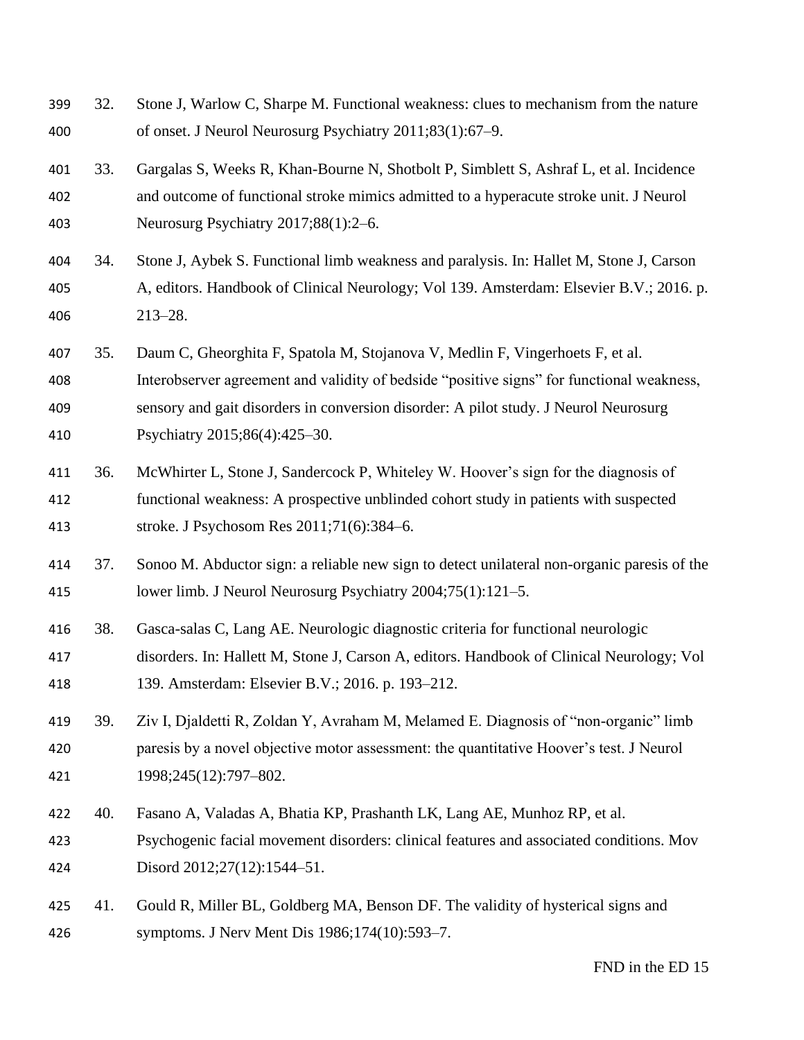32. Stone J, Warlow C, Sharpe M. Functional weakness: clues to mechanism from the nature of onset. J Neurol Neurosurg Psychiatry 2011;83(1):67–9. 33. Gargalas S, Weeks R, Khan-Bourne N, Shotbolt P, Simblett S, Ashraf L, et al. Incidence and outcome of functional stroke mimics admitted to a hyperacute stroke unit. J Neurol Neurosurg Psychiatry 2017;88(1):2–6. 34. Stone J, Aybek S. Functional limb weakness and paralysis. In: Hallet M, Stone J, Carson A, editors. Handbook of Clinical Neurology; Vol 139. Amsterdam: Elsevier B.V.; 2016. p. 213–28. 35. Daum C, Gheorghita F, Spatola M, Stojanova V, Medlin F, Vingerhoets F, et al. Interobserver agreement and validity of bedside "positive signs" for functional weakness, sensory and gait disorders in conversion disorder: A pilot study. J Neurol Neurosurg Psychiatry 2015;86(4):425–30. 36. McWhirter L, Stone J, Sandercock P, Whiteley W. Hoover's sign for the diagnosis of functional weakness: A prospective unblinded cohort study in patients with suspected stroke. J Psychosom Res 2011;71(6):384–6. 37. Sonoo M. Abductor sign: a reliable new sign to detect unilateral non-organic paresis of the lower limb. J Neurol Neurosurg Psychiatry 2004;75(1):121–5. 38. Gasca-salas C, Lang AE. Neurologic diagnostic criteria for functional neurologic disorders. In: Hallett M, Stone J, Carson A, editors. Handbook of Clinical Neurology; Vol 139. Amsterdam: Elsevier B.V.; 2016. p. 193–212. 39. Ziv I, Djaldetti R, Zoldan Y, Avraham M, Melamed E. Diagnosis of "non-organic" limb paresis by a novel objective motor assessment: the quantitative Hoover's test. J Neurol 1998;245(12):797–802. 40. Fasano A, Valadas A, Bhatia KP, Prashanth LK, Lang AE, Munhoz RP, et al. Psychogenic facial movement disorders: clinical features and associated conditions. Mov Disord 2012;27(12):1544–51. 425 41. Gould R, Miller BL, Goldberg MA, Benson DF. The validity of hysterical signs and symptoms. J Nerv Ment Dis 1986;174(10):593–7.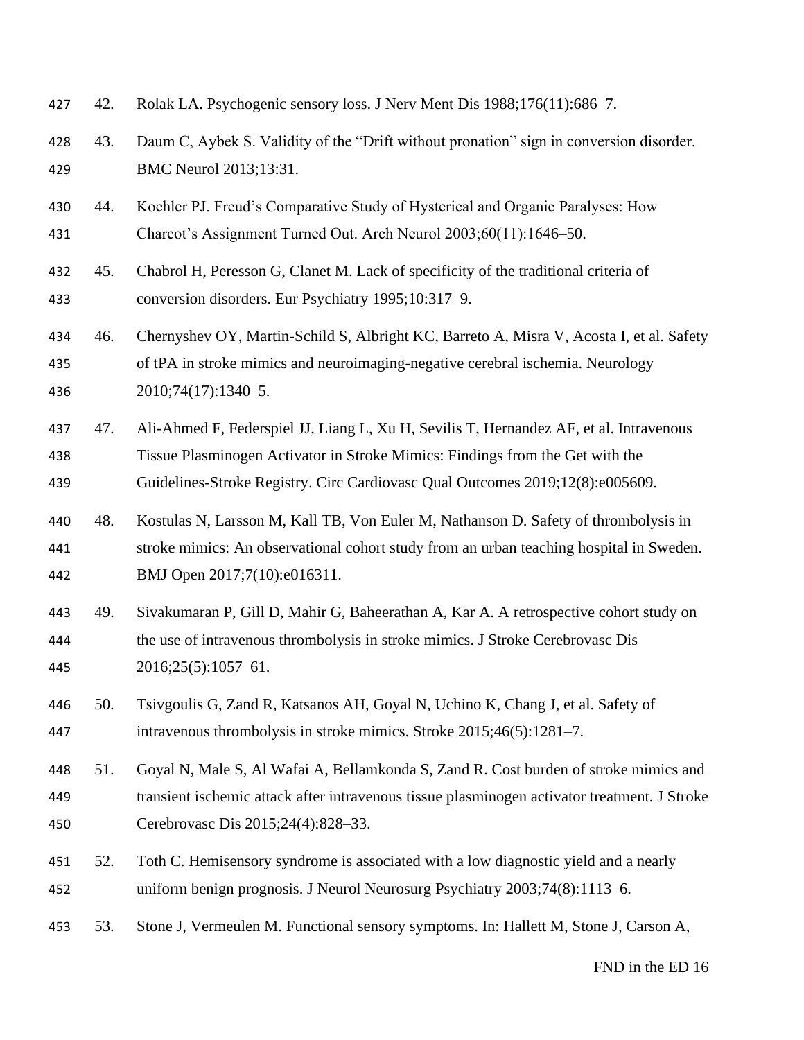| 427               | 42. | Rolak LA. Psychogenic sensory loss. J Nerv Ment Dis 1988;176(11):686-7.                                                                                                                                                                                  |
|-------------------|-----|----------------------------------------------------------------------------------------------------------------------------------------------------------------------------------------------------------------------------------------------------------|
| 428<br>429        | 43. | Daum C, Aybek S. Validity of the "Drift without pronation" sign in conversion disorder.<br>BMC Neurol 2013;13:31.                                                                                                                                        |
| 430<br>431        | 44. | Koehler PJ. Freud's Comparative Study of Hysterical and Organic Paralyses: How<br>Charcot's Assignment Turned Out. Arch Neurol 2003;60(11):1646–50.                                                                                                      |
| 432<br>433        | 45. | Chabrol H, Peresson G, Clanet M. Lack of specificity of the traditional criteria of<br>conversion disorders. Eur Psychiatry 1995;10:317-9.                                                                                                               |
| 434<br>435<br>436 | 46. | Chernyshev OY, Martin-Schild S, Albright KC, Barreto A, Misra V, Acosta I, et al. Safety<br>of tPA in stroke mimics and neuroimaging-negative cerebral ischemia. Neurology<br>2010;74(17):1340-5.                                                        |
| 437<br>438<br>439 | 47. | Ali-Ahmed F, Federspiel JJ, Liang L, Xu H, Sevilis T, Hernandez AF, et al. Intravenous<br>Tissue Plasminogen Activator in Stroke Mimics: Findings from the Get with the<br>Guidelines-Stroke Registry. Circ Cardiovasc Qual Outcomes 2019;12(8):e005609. |
| 440<br>441<br>442 | 48. | Kostulas N, Larsson M, Kall TB, Von Euler M, Nathanson D. Safety of thrombolysis in<br>stroke mimics: An observational cohort study from an urban teaching hospital in Sweden.<br>BMJ Open 2017;7(10):e016311.                                           |
| 443<br>444<br>445 | 49. | Sivakumaran P, Gill D, Mahir G, Baheerathan A, Kar A. A retrospective cohort study on<br>the use of intravenous thrombolysis in stroke mimics. J Stroke Cerebrovasc Dis<br>$2016;25(5):1057-61.$                                                         |
| 446<br>447        | 50. | Tsivgoulis G, Zand R, Katsanos AH, Goyal N, Uchino K, Chang J, et al. Safety of<br>intravenous thrombolysis in stroke mimics. Stroke 2015;46(5):1281–7.                                                                                                  |
| 448<br>449<br>450 | 51. | Goyal N, Male S, Al Wafai A, Bellamkonda S, Zand R. Cost burden of stroke mimics and<br>transient ischemic attack after intravenous tissue plasminogen activator treatment. J Stroke<br>Cerebrovasc Dis 2015;24(4):828-33.                               |
| 451<br>452        | 52. | Toth C. Hemisensory syndrome is associated with a low diagnostic yield and a nearly<br>uniform benign prognosis. J Neurol Neurosurg Psychiatry 2003;74(8):1113-6.                                                                                        |
| 453               | 53. | Stone J, Vermeulen M. Functional sensory symptoms. In: Hallett M, Stone J, Carson A,                                                                                                                                                                     |
|                   |     | FND in the ED 16                                                                                                                                                                                                                                         |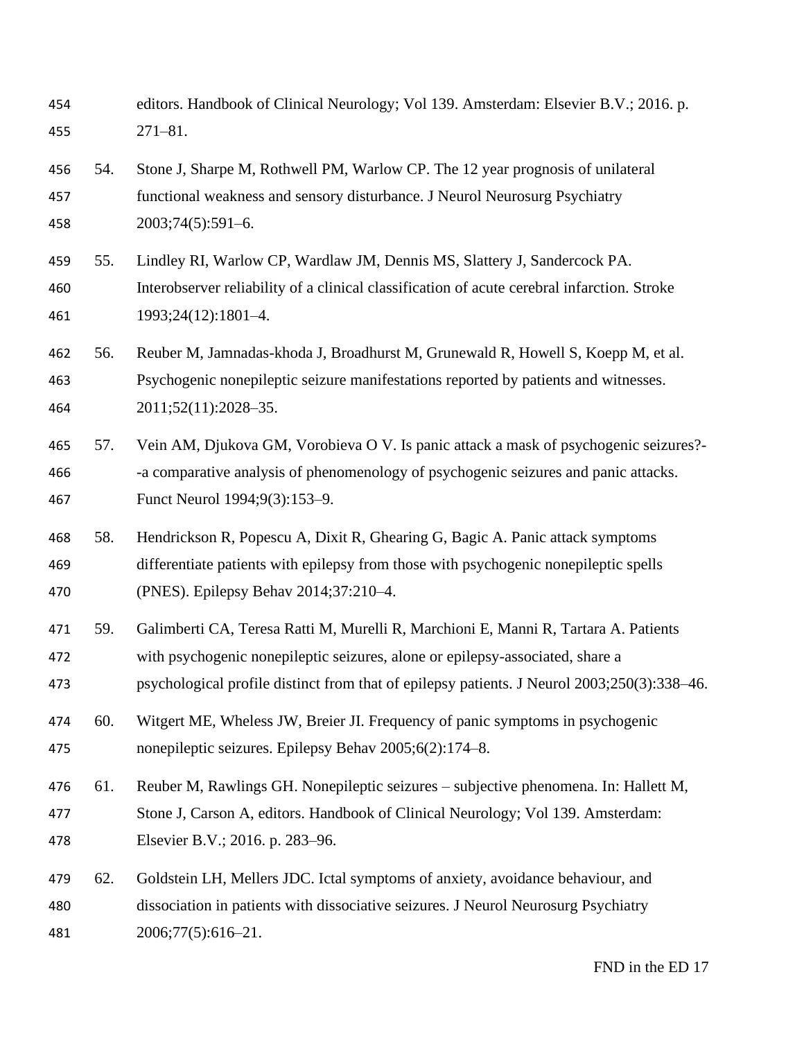| 454 | editors. Handbook of Clinical Neurology; Vol 139. Amsterdam: Elsevier B.V.; 2016. p. |
|-----|--------------------------------------------------------------------------------------|
| 455 | 271–81.                                                                              |

 54. Stone J, Sharpe M, Rothwell PM, Warlow CP. The 12 year prognosis of unilateral functional weakness and sensory disturbance. J Neurol Neurosurg Psychiatry 2003;74(5):591–6.

- 55. Lindley RI, Warlow CP, Wardlaw JM, Dennis MS, Slattery J, Sandercock PA. Interobserver reliability of a clinical classification of acute cerebral infarction. Stroke 1993;24(12):1801–4.
- 56. Reuber M, Jamnadas-khoda J, Broadhurst M, Grunewald R, Howell S, Koepp M, et al. Psychogenic nonepileptic seizure manifestations reported by patients and witnesses. 2011;52(11):2028–35.
- 57. Vein AM, Djukova GM, Vorobieva O V. Is panic attack a mask of psychogenic seizures?- -a comparative analysis of phenomenology of psychogenic seizures and panic attacks. Funct Neurol 1994;9(3):153–9.
- 58. Hendrickson R, Popescu A, Dixit R, Ghearing G, Bagic A. Panic attack symptoms differentiate patients with epilepsy from those with psychogenic nonepileptic spells (PNES). Epilepsy Behav 2014;37:210–4.
- 59. Galimberti CA, Teresa Ratti M, Murelli R, Marchioni E, Manni R, Tartara A. Patients with psychogenic nonepileptic seizures, alone or epilepsy-associated, share a psychological profile distinct from that of epilepsy patients. J Neurol 2003;250(3):338–46.
- 60. Witgert ME, Wheless JW, Breier JI. Frequency of panic symptoms in psychogenic nonepileptic seizures. Epilepsy Behav 2005;6(2):174–8.
- 61. Reuber M, Rawlings GH. Nonepileptic seizures subjective phenomena. In: Hallett M, Stone J, Carson A, editors. Handbook of Clinical Neurology; Vol 139. Amsterdam: Elsevier B.V.; 2016. p. 283–96.
- 62. Goldstein LH, Mellers JDC. Ictal symptoms of anxiety, avoidance behaviour, and dissociation in patients with dissociative seizures. J Neurol Neurosurg Psychiatry 2006;77(5):616–21.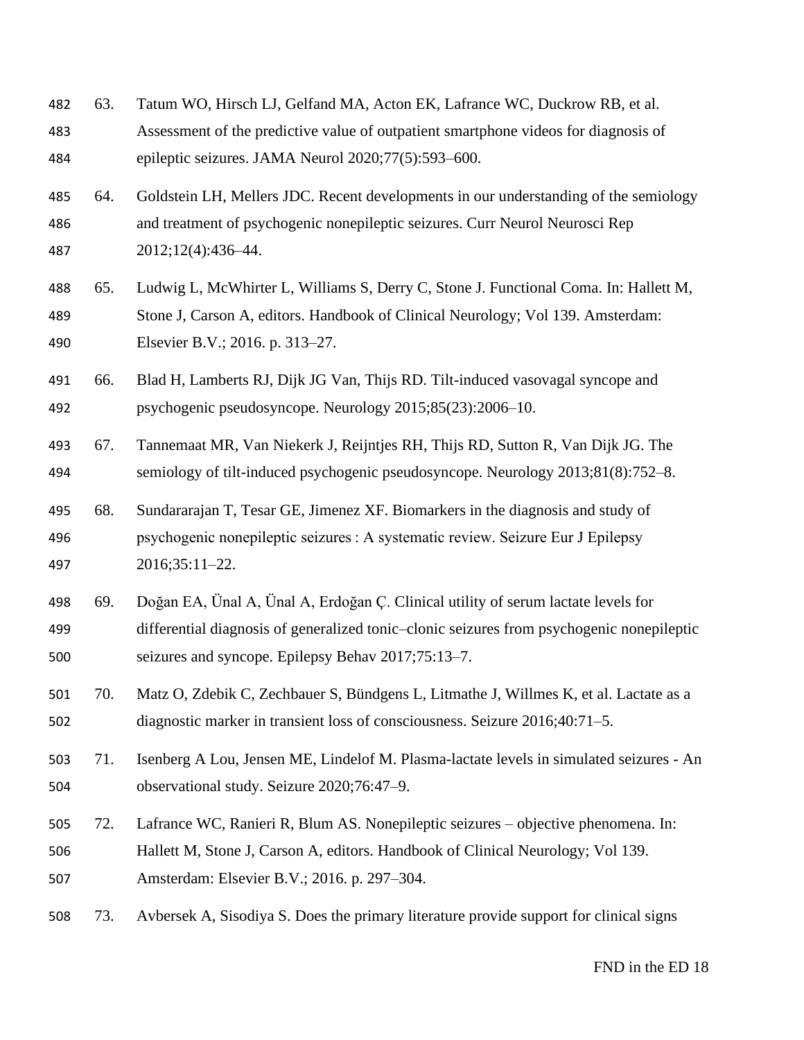| 482<br>483<br>484 | 63. | Tatum WO, Hirsch LJ, Gelfand MA, Acton EK, Lafrance WC, Duckrow RB, et al.<br>Assessment of the predictive value of outpatient smartphone videos for diagnosis of<br>epileptic seizures. JAMA Neurol 2020;77(5):593-600.             |
|-------------------|-----|--------------------------------------------------------------------------------------------------------------------------------------------------------------------------------------------------------------------------------------|
| 485<br>486<br>487 | 64. | Goldstein LH, Mellers JDC. Recent developments in our understanding of the semiology<br>and treatment of psychogenic nonepileptic seizures. Curr Neurol Neurosci Rep<br>2012;12(4):436-44.                                           |
| 488<br>489<br>490 | 65. | Ludwig L, McWhirter L, Williams S, Derry C, Stone J. Functional Coma. In: Hallett M,<br>Stone J, Carson A, editors. Handbook of Clinical Neurology; Vol 139. Amsterdam:<br>Elsevier B.V.; 2016. p. 313-27.                           |
| 491<br>492        | 66. | Blad H, Lamberts RJ, Dijk JG Van, Thijs RD. Tilt-induced vasovagal syncope and<br>psychogenic pseudosyncope. Neurology 2015;85(23):2006-10.                                                                                          |
| 493<br>494        | 67. | Tannemaat MR, Van Niekerk J, Reijntjes RH, Thijs RD, Sutton R, Van Dijk JG. The<br>semiology of tilt-induced psychogenic pseudosyncope. Neurology 2013;81(8):752–8.                                                                  |
| 495<br>496<br>497 | 68. | Sundararajan T, Tesar GE, Jimenez XF. Biomarkers in the diagnosis and study of<br>psychogenic nonepileptic seizures : A systematic review. Seizure Eur J Epilepsy<br>2016;35:11-22.                                                  |
| 498<br>499<br>500 | 69. | Doğan EA, Ünal A, Ünal A, Erdoğan Ç. Clinical utility of serum lactate levels for<br>differential diagnosis of generalized tonic-clonic seizures from psychogenic nonepileptic<br>seizures and syncope. Epilepsy Behav 2017;75:13-7. |
| 501<br>502        | 70. | Matz O, Zdebik C, Zechbauer S, Bündgens L, Litmathe J, Willmes K, et al. Lactate as a<br>diagnostic marker in transient loss of consciousness. Seizure 2016;40:71-5.                                                                 |
| 503<br>504        | 71. | Isenberg A Lou, Jensen ME, Lindelof M. Plasma-lactate levels in simulated seizures - An<br>observational study. Seizure 2020;76:47-9.                                                                                                |
| 505<br>506<br>507 | 72. | Lafrance WC, Ranieri R, Blum AS. Nonepileptic seizures – objective phenomena. In:<br>Hallett M, Stone J, Carson A, editors. Handbook of Clinical Neurology; Vol 139.<br>Amsterdam: Elsevier B.V.; 2016. p. 297–304.                  |
| 508               | 73. | Avbersek A, Sisodiya S. Does the primary literature provide support for clinical signs                                                                                                                                               |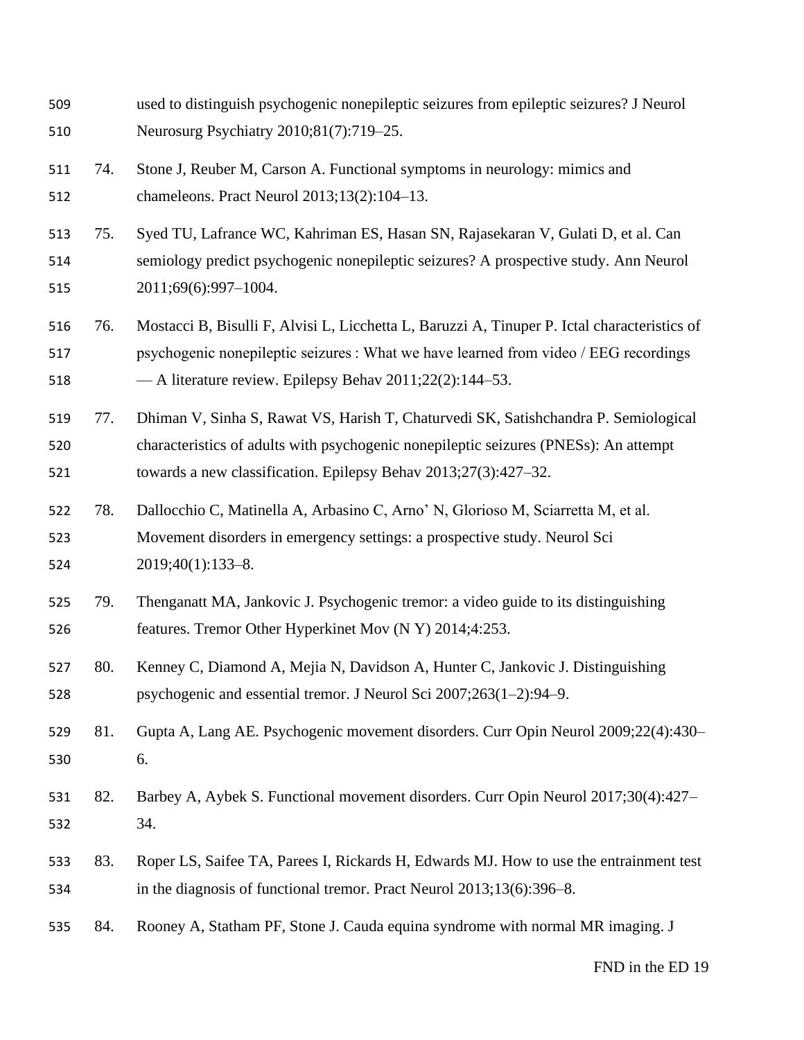| 509<br>510        |     | used to distinguish psychogenic nonepileptic seizures from epileptic seizures? J Neurol<br>Neurosurg Psychiatry 2010;81(7):719–25.                                                                                                               |
|-------------------|-----|--------------------------------------------------------------------------------------------------------------------------------------------------------------------------------------------------------------------------------------------------|
| 511<br>512        | 74. | Stone J, Reuber M, Carson A. Functional symptoms in neurology: mimics and<br>chameleons. Pract Neurol 2013;13(2):104-13.                                                                                                                         |
| 513<br>514<br>515 | 75. | Syed TU, Lafrance WC, Kahriman ES, Hasan SN, Rajasekaran V, Gulati D, et al. Can<br>semiology predict psychogenic nonepileptic seizures? A prospective study. Ann Neurol<br>2011;69(6):997-1004.                                                 |
| 516<br>517<br>518 | 76. | Mostacci B, Bisulli F, Alvisi L, Licchetta L, Baruzzi A, Tinuper P. Ictal characteristics of<br>psychogenic nonepileptic seizures : What we have learned from video / EEG recordings<br>- A literature review. Epilepsy Behav 2011;22(2):144–53. |
| 519<br>520<br>521 | 77. | Dhiman V, Sinha S, Rawat VS, Harish T, Chaturvedi SK, Satishchandra P. Semiological<br>characteristics of adults with psychogenic nonepileptic seizures (PNESs): An attempt<br>towards a new classification. Epilepsy Behav 2013;27(3):427–32.   |
| 522<br>523<br>524 | 78. | Dallocchio C, Matinella A, Arbasino C, Arno' N, Glorioso M, Sciarretta M, et al.<br>Movement disorders in emergency settings: a prospective study. Neurol Sci<br>2019;40(1):133-8.                                                               |
| 525<br>526        | 79. | Thenganatt MA, Jankovic J. Psychogenic tremor: a video guide to its distinguishing<br>features. Tremor Other Hyperkinet Mov (N Y) 2014;4:253.                                                                                                    |
| 527<br>528        | 80. | Kenney C, Diamond A, Mejia N, Davidson A, Hunter C, Jankovic J. Distinguishing<br>psychogenic and essential tremor. J Neurol Sci 2007;263(1-2):94-9.                                                                                             |
| 529<br>530        | 81. | Gupta A, Lang AE. Psychogenic movement disorders. Curr Opin Neurol 2009;22(4):430-<br>6.                                                                                                                                                         |
| 531<br>532        | 82. | Barbey A, Aybek S. Functional movement disorders. Curr Opin Neurol 2017;30(4):427-<br>34.                                                                                                                                                        |
| 533<br>534        | 83. | Roper LS, Saifee TA, Parees I, Rickards H, Edwards MJ. How to use the entrainment test<br>in the diagnosis of functional tremor. Pract Neurol 2013;13(6):396–8.                                                                                  |
| 535               | 84. | Rooney A, Statham PF, Stone J. Cauda equina syndrome with normal MR imaging. J                                                                                                                                                                   |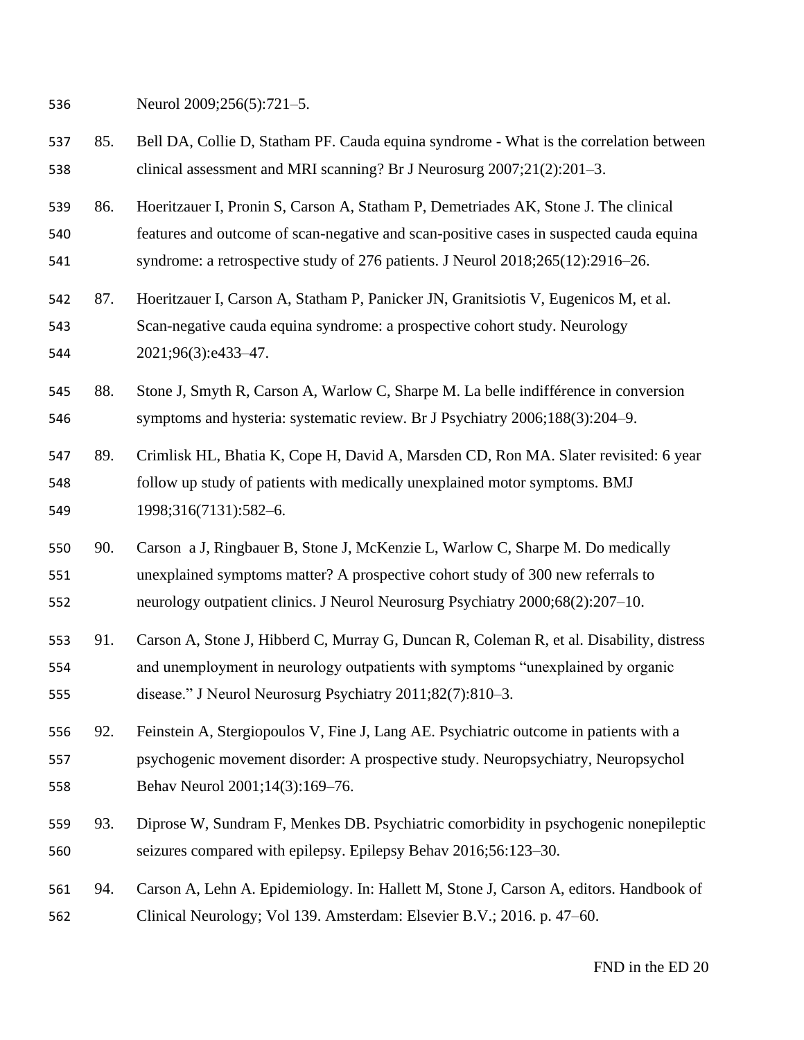Neurol 2009;256(5):721–5.

- 85. Bell DA, Collie D, Statham PF. Cauda equina syndrome What is the correlation between clinical assessment and MRI scanning? Br J Neurosurg 2007;21(2):201–3.
- 86. Hoeritzauer I, Pronin S, Carson A, Statham P, Demetriades AK, Stone J. The clinical features and outcome of scan-negative and scan-positive cases in suspected cauda equina syndrome: a retrospective study of 276 patients. J Neurol 2018;265(12):2916–26.
- 87. Hoeritzauer I, Carson A, Statham P, Panicker JN, Granitsiotis V, Eugenicos M, et al. Scan-negative cauda equina syndrome: a prospective cohort study. Neurology 2021;96(3):e433–47.
- 88. Stone J, Smyth R, Carson A, Warlow C, Sharpe M. La belle indifférence in conversion symptoms and hysteria: systematic review. Br J Psychiatry 2006;188(3):204–9.
- 89. Crimlisk HL, Bhatia K, Cope H, David A, Marsden CD, Ron MA. Slater revisited: 6 year follow up study of patients with medically unexplained motor symptoms. BMJ 1998;316(7131):582–6.
- 90. Carson a J, Ringbauer B, Stone J, McKenzie L, Warlow C, Sharpe M. Do medically unexplained symptoms matter? A prospective cohort study of 300 new referrals to neurology outpatient clinics. J Neurol Neurosurg Psychiatry 2000;68(2):207–10.
- 91. Carson A, Stone J, Hibberd C, Murray G, Duncan R, Coleman R, et al. Disability, distress and unemployment in neurology outpatients with symptoms "unexplained by organic disease." J Neurol Neurosurg Psychiatry 2011;82(7):810–3.
- 92. Feinstein A, Stergiopoulos V, Fine J, Lang AE. Psychiatric outcome in patients with a psychogenic movement disorder: A prospective study. Neuropsychiatry, Neuropsychol Behav Neurol 2001;14(3):169–76.
- 93. Diprose W, Sundram F, Menkes DB. Psychiatric comorbidity in psychogenic nonepileptic seizures compared with epilepsy. Epilepsy Behav 2016;56:123–30.
- 94. Carson A, Lehn A. Epidemiology. In: Hallett M, Stone J, Carson A, editors. Handbook of Clinical Neurology; Vol 139. Amsterdam: Elsevier B.V.; 2016. p. 47–60.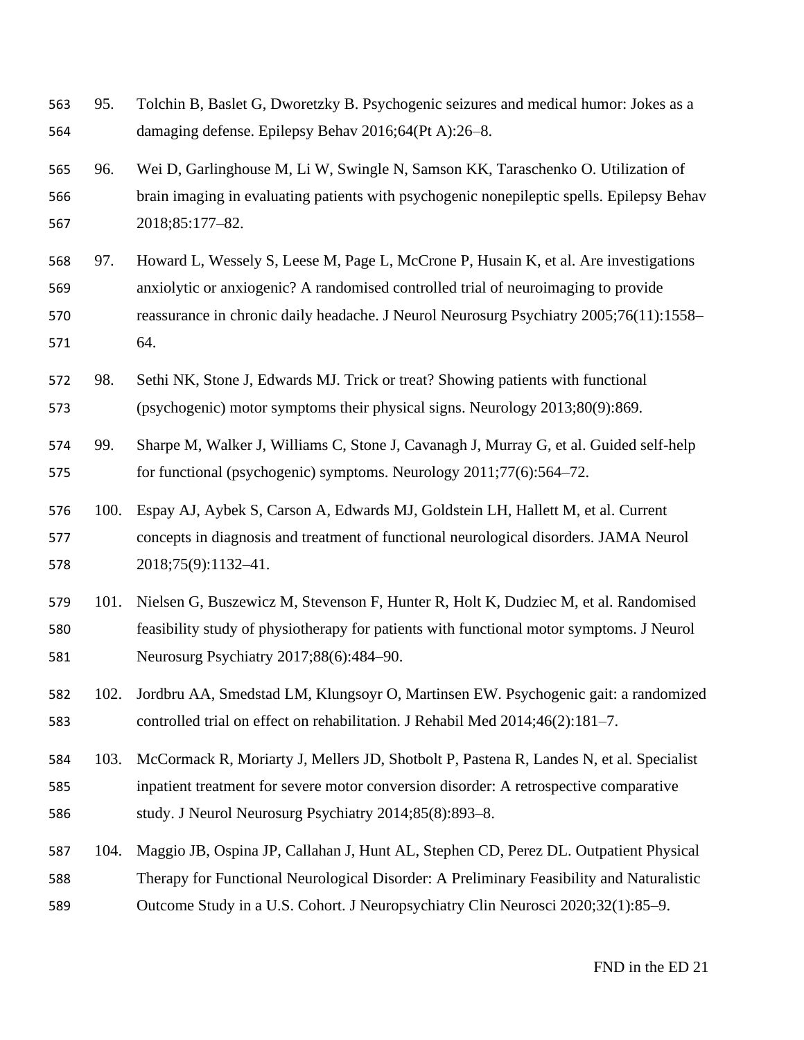95. Tolchin B, Baslet G, Dworetzky B. Psychogenic seizures and medical humor: Jokes as a damaging defense. Epilepsy Behav 2016;64(Pt A):26–8. 96. Wei D, Garlinghouse M, Li W, Swingle N, Samson KK, Taraschenko O. Utilization of brain imaging in evaluating patients with psychogenic nonepileptic spells. Epilepsy Behav 2018;85:177–82. 97. Howard L, Wessely S, Leese M, Page L, McCrone P, Husain K, et al. Are investigations anxiolytic or anxiogenic? A randomised controlled trial of neuroimaging to provide reassurance in chronic daily headache. J Neurol Neurosurg Psychiatry 2005;76(11):1558– 64. 98. Sethi NK, Stone J, Edwards MJ. Trick or treat? Showing patients with functional (psychogenic) motor symptoms their physical signs. Neurology 2013;80(9):869. 99. Sharpe M, Walker J, Williams C, Stone J, Cavanagh J, Murray G, et al. Guided self-help for functional (psychogenic) symptoms. Neurology 2011;77(6):564–72. 100. Espay AJ, Aybek S, Carson A, Edwards MJ, Goldstein LH, Hallett M, et al. Current concepts in diagnosis and treatment of functional neurological disorders. JAMA Neurol 2018;75(9):1132–41. 101. Nielsen G, Buszewicz M, Stevenson F, Hunter R, Holt K, Dudziec M, et al. Randomised feasibility study of physiotherapy for patients with functional motor symptoms. J Neurol Neurosurg Psychiatry 2017;88(6):484–90. 102. Jordbru AA, Smedstad LM, Klungsoyr O, Martinsen EW. Psychogenic gait: a randomized controlled trial on effect on rehabilitation. J Rehabil Med 2014;46(2):181–7. 103. McCormack R, Moriarty J, Mellers JD, Shotbolt P, Pastena R, Landes N, et al. Specialist inpatient treatment for severe motor conversion disorder: A retrospective comparative study. J Neurol Neurosurg Psychiatry 2014;85(8):893–8. 104. Maggio JB, Ospina JP, Callahan J, Hunt AL, Stephen CD, Perez DL. Outpatient Physical Therapy for Functional Neurological Disorder: A Preliminary Feasibility and Naturalistic Outcome Study in a U.S. Cohort. J Neuropsychiatry Clin Neurosci 2020;32(1):85–9.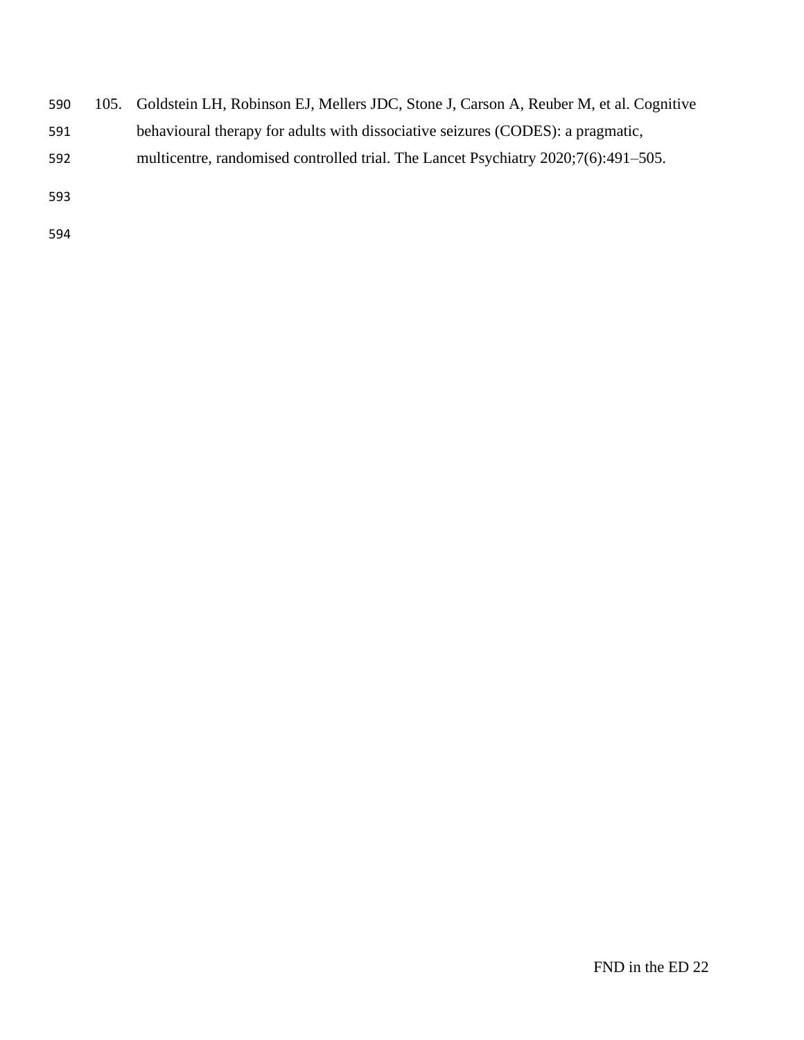- 105. Goldstein LH, Robinson EJ, Mellers JDC, Stone J, Carson A, Reuber M, et al. Cognitive
- behavioural therapy for adults with dissociative seizures (CODES): a pragmatic,
- multicentre, randomised controlled trial. The Lancet Psychiatry 2020;7(6):491–505.
- 
-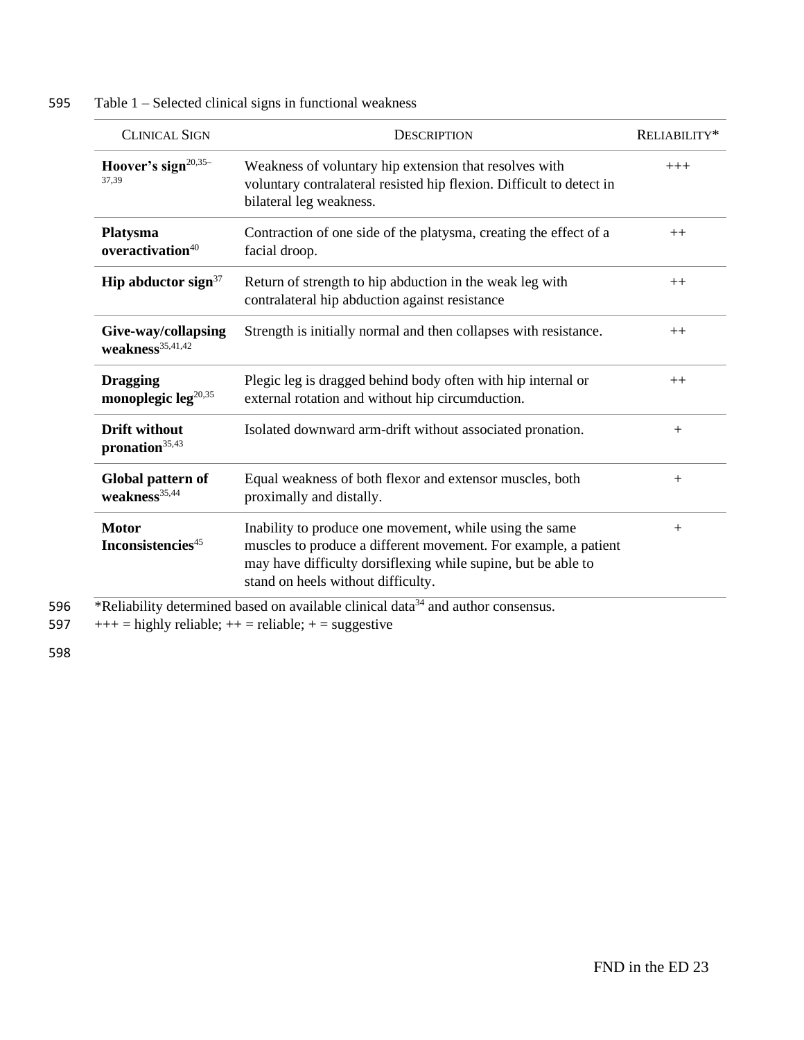| <b>CLINICAL SIGN</b>                               | <b>DESCRIPTION</b>                                                                                                                                                                                                                | RELIABILITY* |
|----------------------------------------------------|-----------------------------------------------------------------------------------------------------------------------------------------------------------------------------------------------------------------------------------|--------------|
| Hoover's sign <sup>20,35-</sup><br>37,39           | Weakness of voluntary hip extension that resolves with<br>voluntary contralateral resisted hip flexion. Difficult to detect in<br>bilateral leg weakness.                                                                         | $+++$        |
| Platysma<br>overactivation $40$                    | Contraction of one side of the platysma, creating the effect of a<br>facial droop.                                                                                                                                                | $++$         |
| Hip abductor sign $37$                             | Return of strength to hip abduction in the weak leg with<br>contralateral hip abduction against resistance                                                                                                                        | $++$         |
| Give-way/collapsing<br>$weakness^{35,41,42}$       | Strength is initially normal and then collapses with resistance.                                                                                                                                                                  | $++$         |
| <b>Dragging</b><br>monoplegic leg <sup>20,35</sup> | Plegic leg is dragged behind body often with hip internal or<br>external rotation and without hip circumduction.                                                                                                                  | $++$         |
| <b>Drift without</b><br>pronation <sup>35,43</sup> | Isolated downward arm-drift without associated pronation.                                                                                                                                                                         | $+$          |
| Global pattern of<br>weakness <sup>35,44</sup>     | Equal weakness of both flexor and extensor muscles, both<br>proximally and distally.                                                                                                                                              | $+$          |
| <b>Motor</b><br>Inconsistencies <sup>45</sup>      | Inability to produce one movement, while using the same<br>muscles to produce a different movement. For example, a patient<br>may have difficulty dorsiflexing while supine, but be able to<br>stand on heels without difficulty. | $+$          |

#### 595 Table 1 – Selected clinical signs in functional weakness

597  $+++$  = highly reliable;  $++$  = reliable;  $+=$  suggestive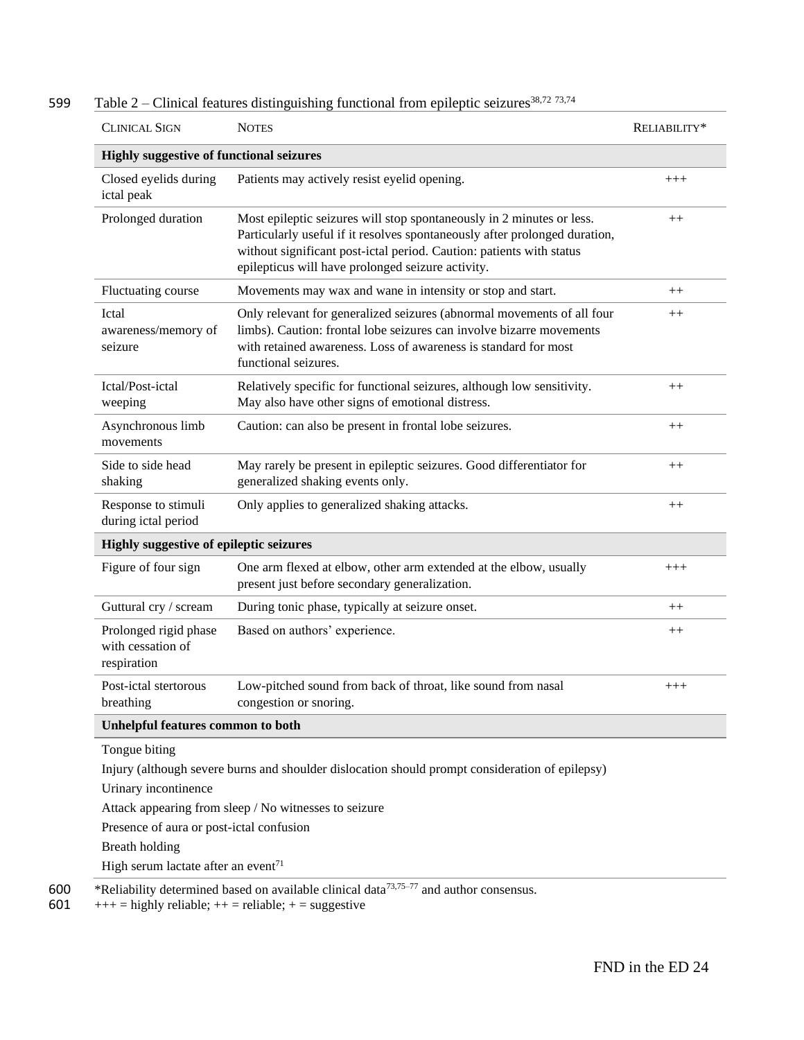| <b>CLINICAL SIGN</b>                                      | <b>NOTES</b>                                                                                                                                                                                                                                                                     | RELIABILITY* |  |
|-----------------------------------------------------------|----------------------------------------------------------------------------------------------------------------------------------------------------------------------------------------------------------------------------------------------------------------------------------|--------------|--|
| <b>Highly suggestive of functional seizures</b>           |                                                                                                                                                                                                                                                                                  |              |  |
| Closed eyelids during<br>ictal peak                       | Patients may actively resist eyelid opening.                                                                                                                                                                                                                                     | $+++$        |  |
| Prolonged duration                                        | Most epileptic seizures will stop spontaneously in 2 minutes or less.<br>Particularly useful if it resolves spontaneously after prolonged duration,<br>without significant post-ictal period. Caution: patients with status<br>epilepticus will have prolonged seizure activity. |              |  |
| Fluctuating course                                        | Movements may wax and wane in intensity or stop and start.                                                                                                                                                                                                                       | $^{++}$      |  |
| Ictal<br>awareness/memory of<br>seizure                   | Only relevant for generalized seizures (abnormal movements of all four<br>limbs). Caution: frontal lobe seizures can involve bizarre movements<br>with retained awareness. Loss of awareness is standard for most<br>functional seizures.                                        | $^{++}$      |  |
| Ictal/Post-ictal<br>weeping                               | Relatively specific for functional seizures, although low sensitivity.<br>May also have other signs of emotional distress.                                                                                                                                                       | $^{++}$      |  |
| Asynchronous limb<br>movements                            | Caution: can also be present in frontal lobe seizures.                                                                                                                                                                                                                           | $++$         |  |
| Side to side head<br>shaking                              | May rarely be present in epileptic seizures. Good differentiator for<br>generalized shaking events only.                                                                                                                                                                         | $^{++}$      |  |
| Response to stimuli<br>during ictal period                | Only applies to generalized shaking attacks.                                                                                                                                                                                                                                     | $^{++}$      |  |
| Highly suggestive of epileptic seizures                   |                                                                                                                                                                                                                                                                                  |              |  |
| Figure of four sign                                       | One arm flexed at elbow, other arm extended at the elbow, usually<br>present just before secondary generalization.                                                                                                                                                               | $^{+++}$     |  |
| Guttural cry / scream                                     | During tonic phase, typically at seizure onset.                                                                                                                                                                                                                                  | $^{++}$      |  |
| Prolonged rigid phase<br>with cessation of<br>respiration | Based on authors' experience.                                                                                                                                                                                                                                                    | $^{++}$      |  |
| Post-ictal stertorous<br>breathing                        | Low-pitched sound from back of throat, like sound from nasal<br>congestion or snoring.                                                                                                                                                                                           | $+++$        |  |
| <b>Unhelpful features common to both</b>                  |                                                                                                                                                                                                                                                                                  |              |  |
| Tongue biting                                             |                                                                                                                                                                                                                                                                                  |              |  |
|                                                           | Injury (although severe burns and shoulder dislocation should prompt consideration of epilepsy)                                                                                                                                                                                  |              |  |
| Urinary incontinence                                      |                                                                                                                                                                                                                                                                                  |              |  |
|                                                           | Attack appearing from sleep / No witnesses to seizure                                                                                                                                                                                                                            |              |  |
| Presence of aura or post-ictal confusion                  |                                                                                                                                                                                                                                                                                  |              |  |
| <b>Breath holding</b>                                     |                                                                                                                                                                                                                                                                                  |              |  |
| High serum lactate after an event <sup>71</sup>           |                                                                                                                                                                                                                                                                                  |              |  |

### 599 Table 2 – Clinical features distinguishing functional from epileptic seizures<sup>38,72</sup> 73,74

600 \*Reliability determined based on available clinical data<sup>73,75–77</sup> and author consensus. 601  $+++$  = highly reliable;  $++$  = reliable;  $+$  = suggestive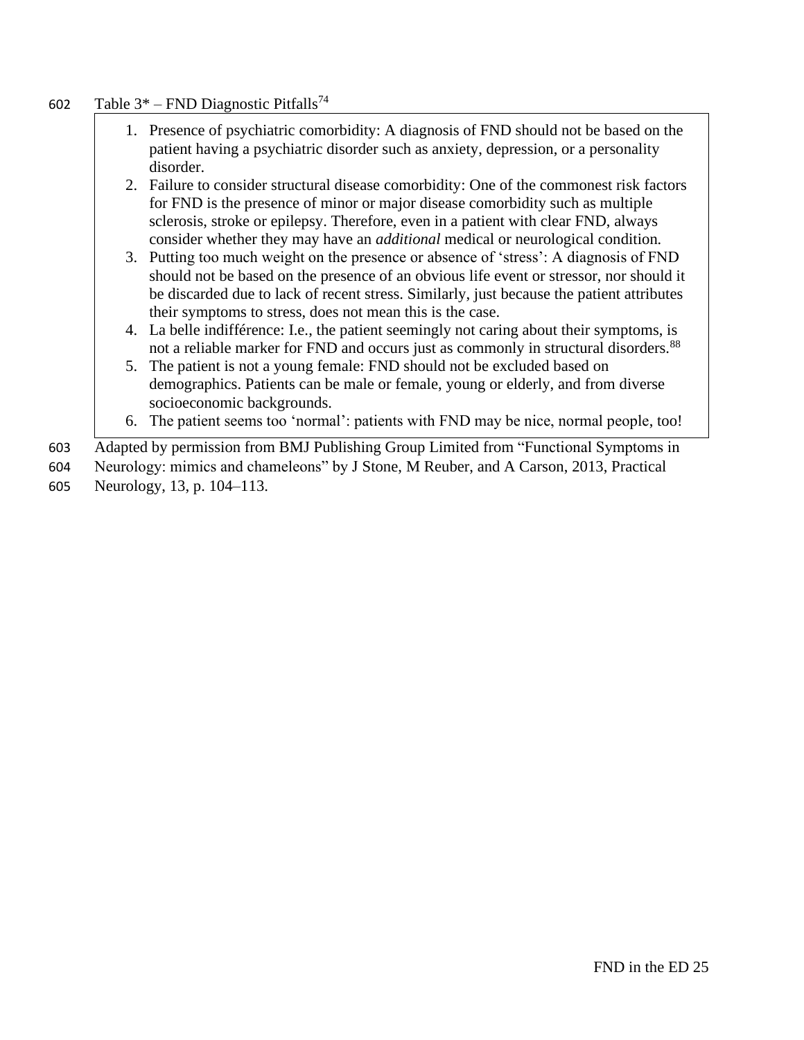#### 602 Table  $3^*$  – FND Diagnostic Pitfalls<sup>74</sup>

- 1. Presence of psychiatric comorbidity: A diagnosis of FND should not be based on the patient having a psychiatric disorder such as anxiety, depression, or a personality disorder.
- 2. Failure to consider structural disease comorbidity: One of the commonest risk factors for FND is the presence of minor or major disease comorbidity such as multiple sclerosis, stroke or epilepsy. Therefore, even in a patient with clear FND, always consider whether they may have an *additional* medical or neurological condition*.*
- 3. Putting too much weight on the presence or absence of 'stress': A diagnosis of FND should not be based on the presence of an obvious life event or stressor, nor should it be discarded due to lack of recent stress. Similarly, just because the patient attributes their symptoms to stress, does not mean this is the case.
- 4. La belle indifférence: I.e., the patient seemingly not caring about their symptoms, is not a reliable marker for FND and occurs just as commonly in structural disorders.<sup>88</sup>
- 5. The patient is not a young female: FND should not be excluded based on demographics. Patients can be male or female, young or elderly, and from diverse socioeconomic backgrounds.
- 6. The patient seems too 'normal': patients with FND may be nice, normal people, too!

603 Adapted by permission from BMJ Publishing Group Limited from "Functional Symptoms in

604 Neurology: mimics and chameleons" by J Stone, M Reuber, and A Carson, 2013, Practical

605 Neurology, 13, p. 104–113.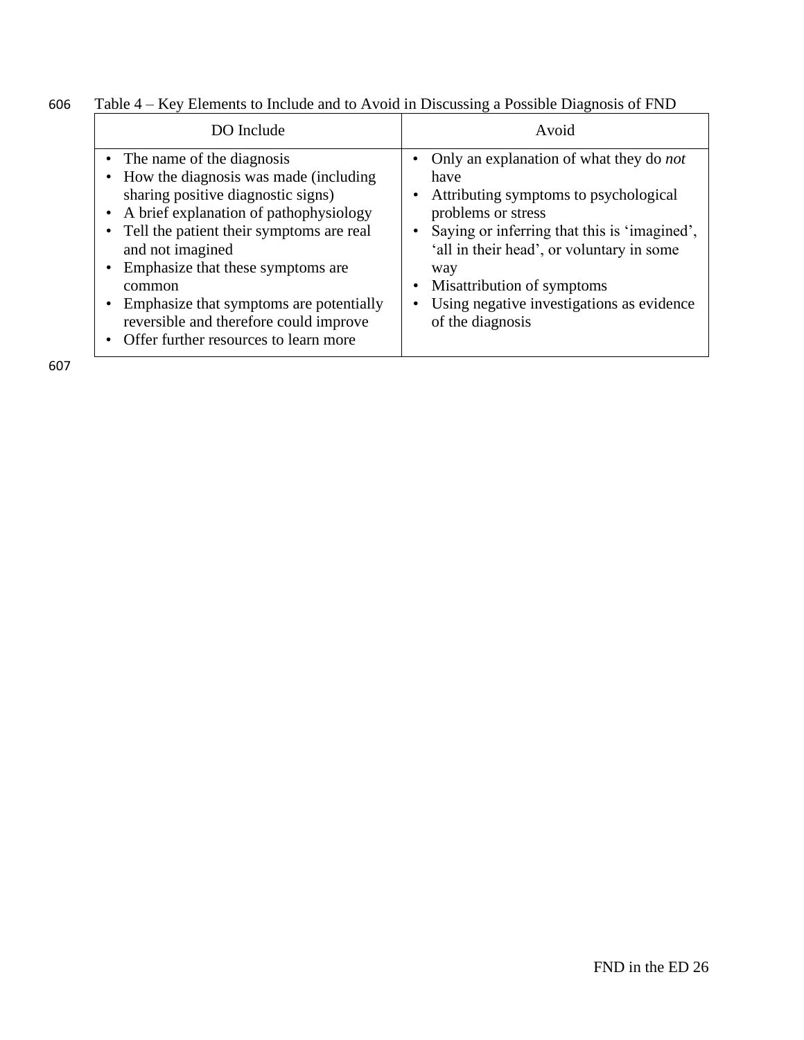| 606 |  |  | Table 4 – Key Elements to Include and to Avoid in Discussing a Possible Diagnosis of FND |  |
|-----|--|--|------------------------------------------------------------------------------------------|--|
|     |  |  |                                                                                          |  |

| DO Include                                                                                                                                                                                                                                                                                                                                                                                           | Avoid                                                                                                                                                                                                                                                                                                                                                                |
|------------------------------------------------------------------------------------------------------------------------------------------------------------------------------------------------------------------------------------------------------------------------------------------------------------------------------------------------------------------------------------------------------|----------------------------------------------------------------------------------------------------------------------------------------------------------------------------------------------------------------------------------------------------------------------------------------------------------------------------------------------------------------------|
| • The name of the diagnosis<br>How the diagnosis was made (including)<br>sharing positive diagnostic signs)<br>• A brief explanation of pathophysiology<br>Tell the patient their symptoms are real<br>and not imagined<br>Emphasize that these symptoms are<br>common<br>Emphasize that symptoms are potentially<br>reversible and therefore could improve<br>Offer further resources to learn more | Only an explanation of what they do <i>not</i><br>have<br>Attributing symptoms to psychological<br>٠<br>problems or stress<br>Saying or inferring that this is 'imagined',<br>$\bullet$<br>'all in their head', or voluntary in some<br>way<br>Misattribution of symptoms<br>$\bullet$<br>Using negative investigations as evidence<br>$\bullet$<br>of the diagnosis |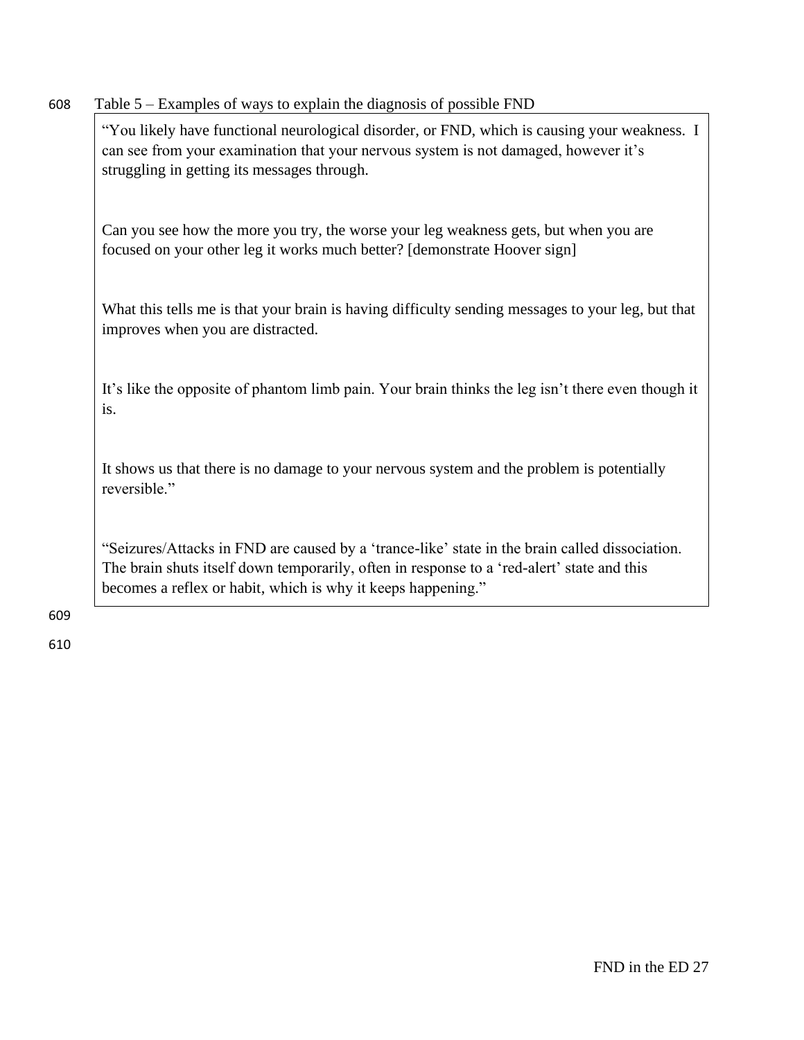| 608 | Table 5 – Examples of ways to explain the diagnosis of possible FND                                                                                                                                                                                          |
|-----|--------------------------------------------------------------------------------------------------------------------------------------------------------------------------------------------------------------------------------------------------------------|
|     | "You likely have functional neurological disorder, or FND, which is causing your weakness. I<br>can see from your examination that your nervous system is not damaged, however it's<br>struggling in getting its messages through.                           |
|     | Can you see how the more you try, the worse your leg weakness gets, but when you are<br>focused on your other leg it works much better? [demonstrate Hoover sign]                                                                                            |
|     | What this tells me is that your brain is having difficulty sending messages to your leg, but that<br>improves when you are distracted.                                                                                                                       |
|     | It's like the opposite of phantom limb pain. Your brain thinks the leg isn't there even though it<br>is.                                                                                                                                                     |
|     | It shows us that there is no damage to your nervous system and the problem is potentially<br>reversible."                                                                                                                                                    |
|     | "Seizures/Attacks in FND are caused by a 'trance-like' state in the brain called dissociation.<br>The brain shuts itself down temporarily, often in response to a 'red-alert' state and this<br>becomes a reflex or habit, which is why it keeps happening." |
| 609 |                                                                                                                                                                                                                                                              |
| 610 |                                                                                                                                                                                                                                                              |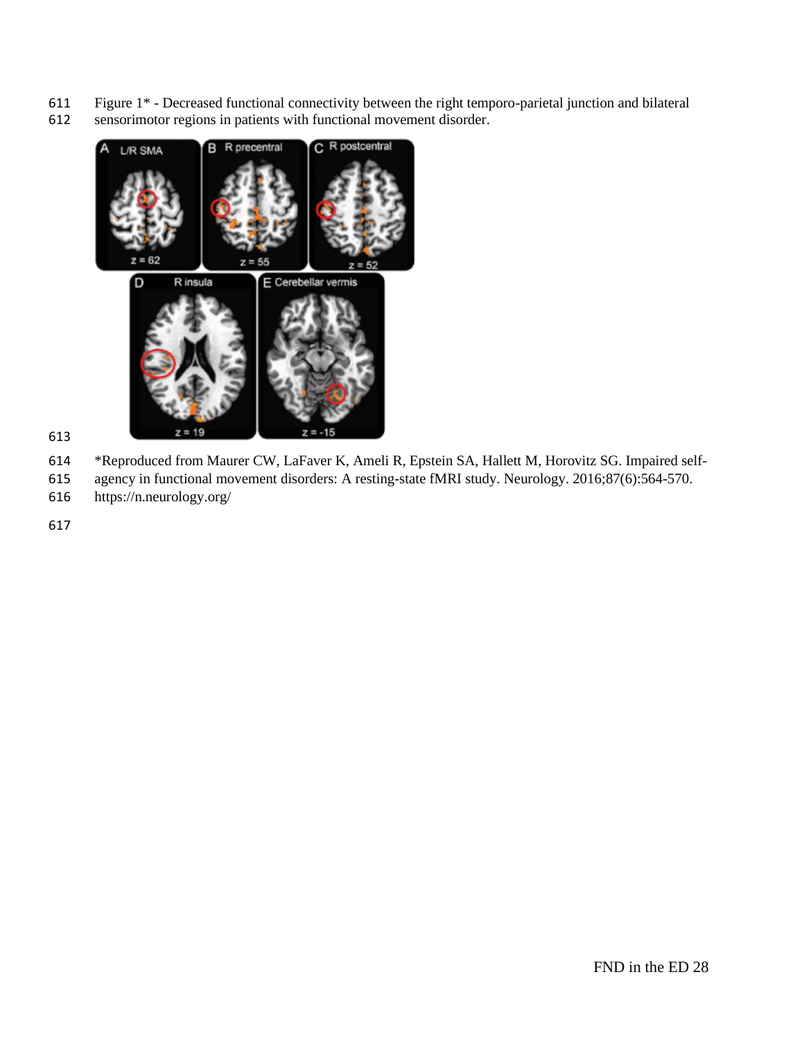- Figure 1\* Decreased functional connectivity between the right temporo-parietal junction and bilateral
- sensorimotor regions in patients with functional movement disorder.



- 
- \*Reproduced from Maurer CW, LaFaver K, Ameli R, Epstein SA, Hallett M, Horovitz SG. Impaired self-
- agency in functional movement disorders: A resting-state fMRI study. Neurology. 2016;87(6):564-570.
- https://n.neurology.org/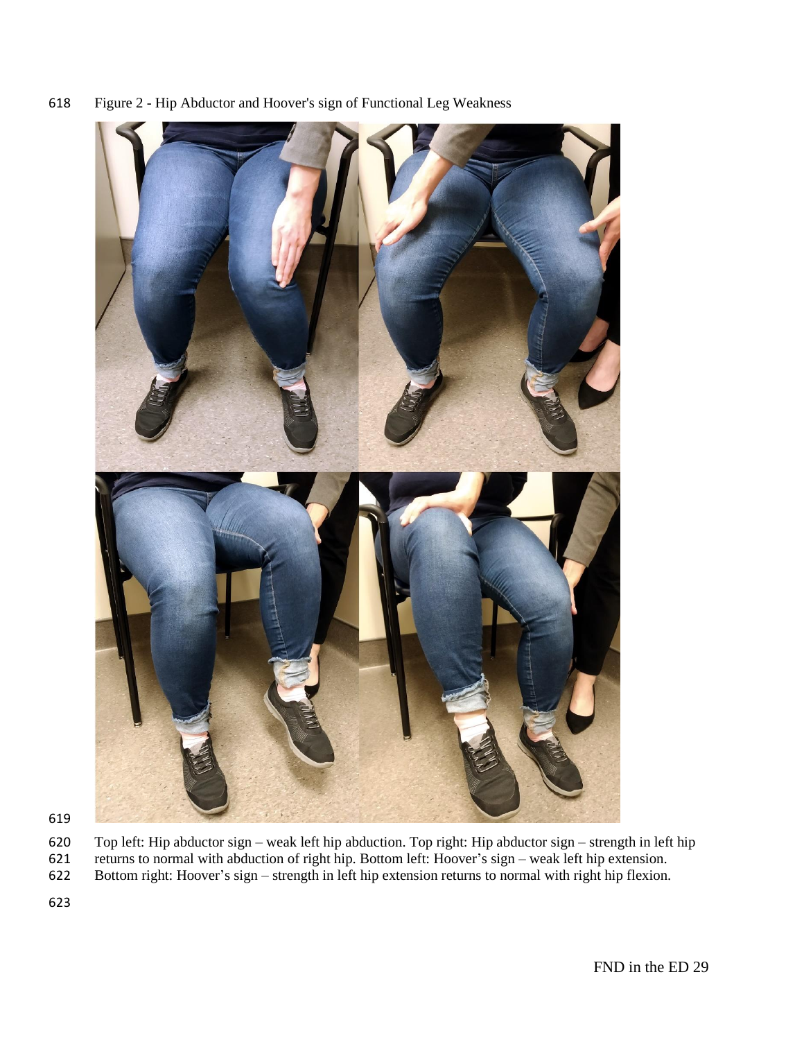



 Top left: Hip abductor sign – weak left hip abduction. Top right: Hip abductor sign – strength in left hip returns to normal with abduction of right hip. Bottom left: Hoover's sign – weak left hip extension. Bottom right: Hoover's sign – strength in left hip extension returns to normal with right hip flexion.